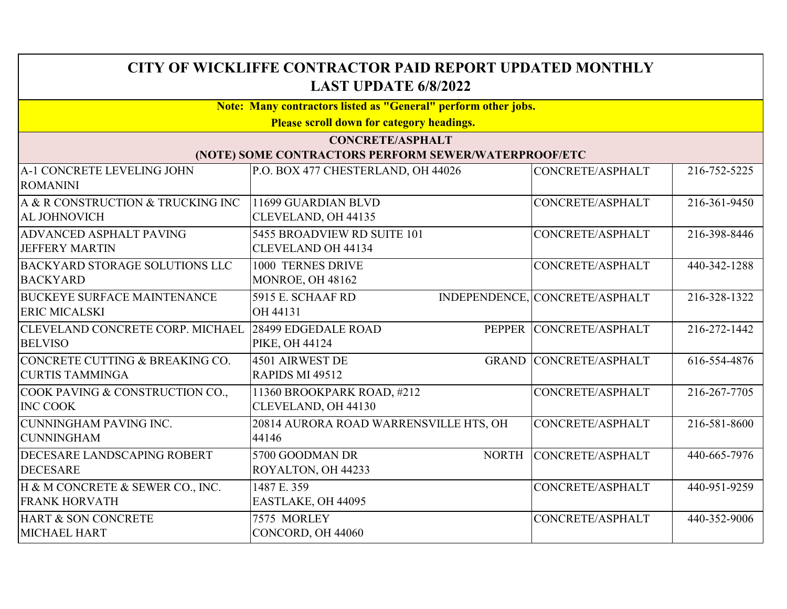| CITY OF WICKLIFFE CONTRACTOR PAID REPORT UPDATED MONTHLY<br><b>LAST UPDATE 6/8/2022</b> |                                                                                 |                                |              |
|-----------------------------------------------------------------------------------------|---------------------------------------------------------------------------------|--------------------------------|--------------|
|                                                                                         | <b>Note: Many contractors listed as "General" perform other jobs.</b>           |                                |              |
|                                                                                         | <b>Please scroll down for category headings.</b>                                |                                |              |
|                                                                                         | <b>CONCRETE/ASPHALT</b><br>(NOTE) SOME CONTRACTORS PERFORM SEWER/WATERPROOF/ETC |                                |              |
| A-1 CONCRETE LEVELING JOHN<br><b>ROMANINI</b>                                           | P.O. BOX 477 CHESTERLAND, OH 44026                                              | CONCRETE/ASPHALT               | 216-752-5225 |
| A & R CONSTRUCTION & TRUCKING INC<br>AL JOHNOVICH                                       | 11699 GUARDIAN BLVD<br>CLEVELAND, OH 44135                                      | CONCRETE/ASPHALT               | 216-361-9450 |
| ADVANCED ASPHALT PAVING<br><b>JEFFERY MARTIN</b>                                        | 5455 BROADVIEW RD SUITE 101<br><b>CLEVELAND OH 44134</b>                        | CONCRETE/ASPHALT               | 216-398-8446 |
| <b>BACKYARD STORAGE SOLUTIONS LLC</b><br><b>BACKYARD</b>                                | 1000 TERNES DRIVE<br>MONROE, OH 48162                                           | CONCRETE/ASPHALT               | 440-342-1288 |
| <b>BUCKEYE SURFACE MAINTENANCE</b><br><b>ERIC MICALSKI</b>                              | 5915 E. SCHAAF RD<br>OH 44131                                                   | INDEPENDENCE, CONCRETE/ASPHALT | 216-328-1322 |
| CLEVELAND CONCRETE CORP. MICHAEL<br><b>BELVISO</b>                                      | 28499 EDGEDALE ROAD<br>PEPPER<br><b>PIKE, OH 44124</b>                          | CONCRETE/ASPHALT               | 216-272-1442 |
| CONCRETE CUTTING & BREAKING CO.<br><b>CURTIS TAMMINGA</b>                               | 4501 AIRWEST DE<br>RAPIDS MI 49512                                              | <b>GRAND CONCRETE/ASPHALT</b>  | 616-554-4876 |
| COOK PAVING & CONSTRUCTION CO.,<br><b>INC COOK</b>                                      | 11360 BROOKPARK ROAD, #212<br>CLEVELAND, OH 44130                               | CONCRETE/ASPHALT               | 216-267-7705 |
| <b>CUNNINGHAM PAVING INC.</b><br><b>CUNNINGHAM</b>                                      | 20814 AURORA ROAD WARRENSVILLE HTS, OH<br>44146                                 | CONCRETE/ASPHALT               | 216-581-8600 |
| DECESARE LANDSCAPING ROBERT<br><b>DECESARE</b>                                          | 5700 GOODMAN DR<br>ROYALTON, OH 44233                                           | NORTH CONCRETE/ASPHALT         | 440-665-7976 |
| H & M CONCRETE & SEWER CO., INC.<br><b>FRANK HORVATH</b>                                | 1487 E. 359<br>EASTLAKE, OH 44095                                               | CONCRETE/ASPHALT               | 440-951-9259 |
| HART & SON CONCRETE<br>MICHAEL HART                                                     | 7575 MORLEY<br>CONCORD, OH 44060                                                | CONCRETE/ASPHALT               | 440-352-9006 |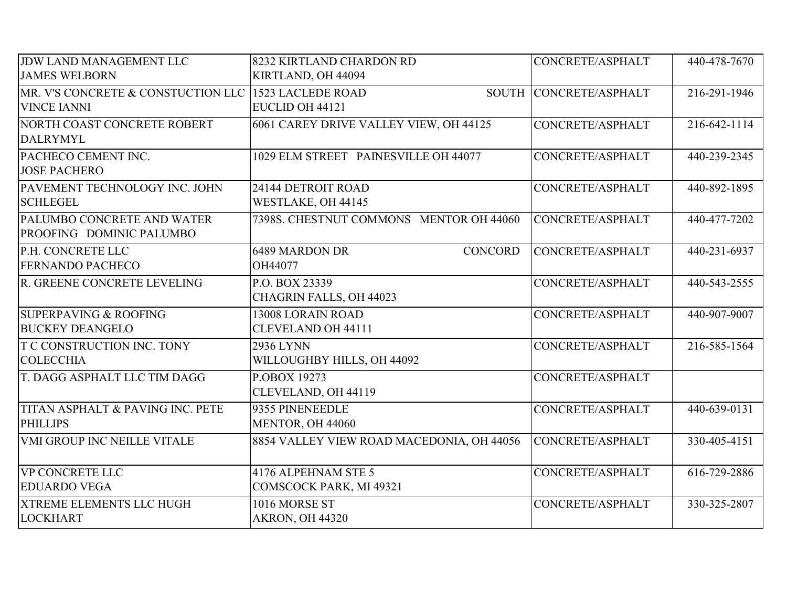| JDW LAND MANAGEMENT LLC            | 8232 KIRTLAND CHARDON RD                  | CONCRETE/ASPHALT | 440-478-7670 |
|------------------------------------|-------------------------------------------|------------------|--------------|
| <b>JAMES WELBORN</b>               | KIRTLAND, OH 44094                        |                  |              |
| MR. V'S CONCRETE & CONSTUCTION LLC | 1523 LACLEDE ROAD<br><b>SOUTH</b>         | CONCRETE/ASPHALT | 216-291-1946 |
| <b>VINCE IANNI</b>                 | EUCLID OH 44121                           |                  |              |
| NORTH COAST CONCRETE ROBERT        | 6061 CAREY DRIVE VALLEY VIEW, OH 44125    | CONCRETE/ASPHALT | 216-642-1114 |
| <b>DALRYMYL</b>                    |                                           |                  |              |
| PACHECO CEMENT INC.                | 1029 ELM STREET PAINESVILLE OH 44077      | CONCRETE/ASPHALT | 440-239-2345 |
| <b>JOSE PACHERO</b>                |                                           |                  |              |
| PAVEMENT TECHNOLOGY INC. JOHN      | 24144 DETROIT ROAD                        | CONCRETE/ASPHALT | 440-892-1895 |
| <b>SCHLEGEL</b>                    | WESTLAKE, OH 44145                        |                  |              |
| PALUMBO CONCRETE AND WATER         | 7398S. CHESTNUT COMMONS MENTOR OH 44060   | CONCRETE/ASPHALT | 440-477-7202 |
| PROOFING DOMINIC PALUMBO           |                                           |                  |              |
| P.H. CONCRETE LLC                  | <b>6489 MARDON DR</b><br>CONCORD          | CONCRETE/ASPHALT | 440-231-6937 |
| <b>FERNANDO PACHECO</b>            | OH44077                                   |                  |              |
| R. GREENE CONCRETE LEVELING        | P.O. BOX 23339                            | CONCRETE/ASPHALT | 440-543-2555 |
|                                    | CHAGRIN FALLS, OH 44023                   |                  |              |
| <b>SUPERPAVING &amp; ROOFING</b>   | 13008 LORAIN ROAD                         | CONCRETE/ASPHALT | 440-907-9007 |
| <b>BUCKEY DEANGELO</b>             | <b>CLEVELAND OH 44111</b>                 |                  |              |
| T C CONSTRUCTION INC. TONY         | 2936 LYNN                                 | CONCRETE/ASPHALT | 216-585-1564 |
| <b>COLECCHIA</b>                   | WILLOUGHBY HILLS, OH 44092                |                  |              |
| T. DAGG ASPHALT LLC TIM DAGG       | P.OBOX 19273                              | CONCRETE/ASPHALT |              |
|                                    | CLEVELAND, OH 44119                       |                  |              |
| TITAN ASPHALT & PAVING INC. PETE   | 9355 PINENEEDLE                           | CONCRETE/ASPHALT | 440-639-0131 |
| <b>PHILLIPS</b>                    | MENTOR, OH 44060                          |                  |              |
| <b>VMI GROUP INC NEILLE VITALE</b> | 8854 VALLEY VIEW ROAD MACEDONIA, OH 44056 | CONCRETE/ASPHALT | 330-405-4151 |
|                                    |                                           |                  |              |
| <b>VP CONCRETE LLC</b>             | 4176 ALPEHNAM STE 5                       | CONCRETE/ASPHALT | 616-729-2886 |
| <b>EDUARDO VEGA</b>                | COMSCOCK PARK, MI 49321                   |                  |              |
| <b>XTREME ELEMENTS LLC HUGH</b>    | 1016 MORSE ST                             | CONCRETE/ASPHALT | 330-325-2807 |
| <b>LOCKHART</b>                    | <b>AKRON, OH 44320</b>                    |                  |              |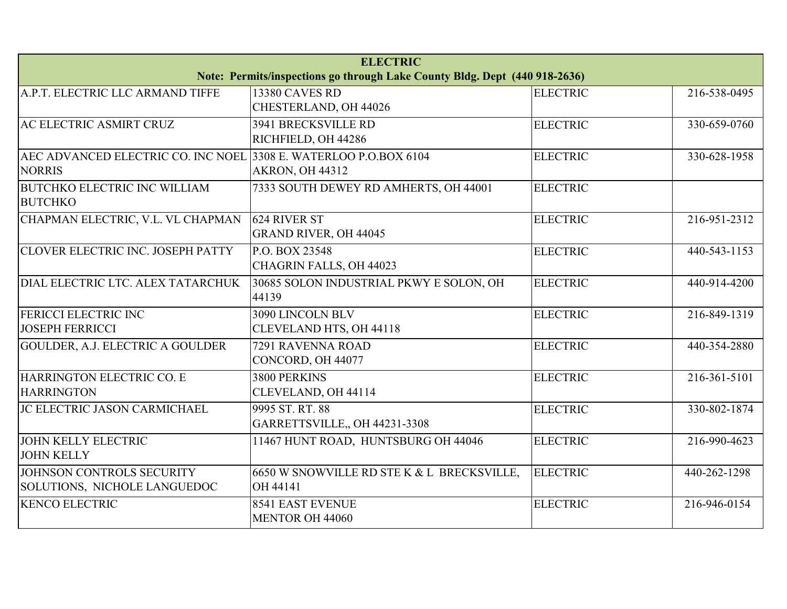| <b>ELECTRIC</b>                                                  |                                                                                                     |                                                                                                                  |  |  |
|------------------------------------------------------------------|-----------------------------------------------------------------------------------------------------|------------------------------------------------------------------------------------------------------------------|--|--|
| A.P.T. ELECTRIC LLC ARMAND TIFFE                                 |                                                                                                     |                                                                                                                  |  |  |
|                                                                  |                                                                                                     | 216-538-0495                                                                                                     |  |  |
|                                                                  |                                                                                                     |                                                                                                                  |  |  |
|                                                                  |                                                                                                     | 330-659-0760                                                                                                     |  |  |
|                                                                  |                                                                                                     |                                                                                                                  |  |  |
| AEC ADVANCED ELECTRIC CO. INC NOEL 3308 E. WATERLOO P.O.BOX 6104 | <b>ELECTRIC</b>                                                                                     | 330-628-1958                                                                                                     |  |  |
| <b>AKRON, OH 44312</b>                                           |                                                                                                     |                                                                                                                  |  |  |
| 7333 SOUTH DEWEY RD AMHERTS, OH 44001                            | <b>ELECTRIC</b>                                                                                     |                                                                                                                  |  |  |
|                                                                  |                                                                                                     |                                                                                                                  |  |  |
| 624 RIVER ST                                                     | <b>ELECTRIC</b>                                                                                     | 216-951-2312                                                                                                     |  |  |
| <b>GRAND RIVER, OH 44045</b>                                     |                                                                                                     |                                                                                                                  |  |  |
| P.O. BOX 23548                                                   | <b>ELECTRIC</b>                                                                                     | 440-543-1153                                                                                                     |  |  |
| CHAGRIN FALLS, OH 44023                                          |                                                                                                     |                                                                                                                  |  |  |
| 30685 SOLON INDUSTRIAL PKWY E SOLON, OH                          | <b>ELECTRIC</b>                                                                                     | 440-914-4200                                                                                                     |  |  |
| 44139                                                            |                                                                                                     |                                                                                                                  |  |  |
| 3090 LINCOLN BLV                                                 | <b>ELECTRIC</b>                                                                                     | 216-849-1319                                                                                                     |  |  |
| CLEVELAND HTS, OH 44118                                          |                                                                                                     |                                                                                                                  |  |  |
| 7291 RAVENNA ROAD                                                | <b>ELECTRIC</b>                                                                                     | 440-354-2880                                                                                                     |  |  |
| CONCORD, OH 44077                                                |                                                                                                     |                                                                                                                  |  |  |
| 3800 PERKINS                                                     | <b>ELECTRIC</b>                                                                                     | 216-361-5101                                                                                                     |  |  |
| CLEVELAND, OH 44114                                              |                                                                                                     |                                                                                                                  |  |  |
| 9995 ST. RT. 88                                                  | <b>ELECTRIC</b>                                                                                     | 330-802-1874                                                                                                     |  |  |
| GARRETTSVILLE,, OH 44231-3308                                    |                                                                                                     |                                                                                                                  |  |  |
| 11467 HUNT ROAD, HUNTSBURG OH 44046                              | <b>ELECTRIC</b>                                                                                     | 216-990-4623                                                                                                     |  |  |
|                                                                  |                                                                                                     |                                                                                                                  |  |  |
| 6650 W SNOWVILLE RD STE K & L BRECKSVILLE,                       | <b>ELECTRIC</b>                                                                                     | 440-262-1298                                                                                                     |  |  |
| OH 44141                                                         |                                                                                                     |                                                                                                                  |  |  |
| <b>8541 EAST EVENUE</b>                                          | <b>ELECTRIC</b>                                                                                     | 216-946-0154                                                                                                     |  |  |
| <b>MENTOR OH 44060</b>                                           |                                                                                                     |                                                                                                                  |  |  |
|                                                                  | <b>13380 CAVES RD</b><br>CHESTERLAND, OH 44026<br><b>3941 BRECKSVILLE RD</b><br>RICHFIELD, OH 44286 | Note: Permits/inspections go through Lake County Bldg. Dept (440 918-2636)<br><b>ELECTRIC</b><br><b>ELECTRIC</b> |  |  |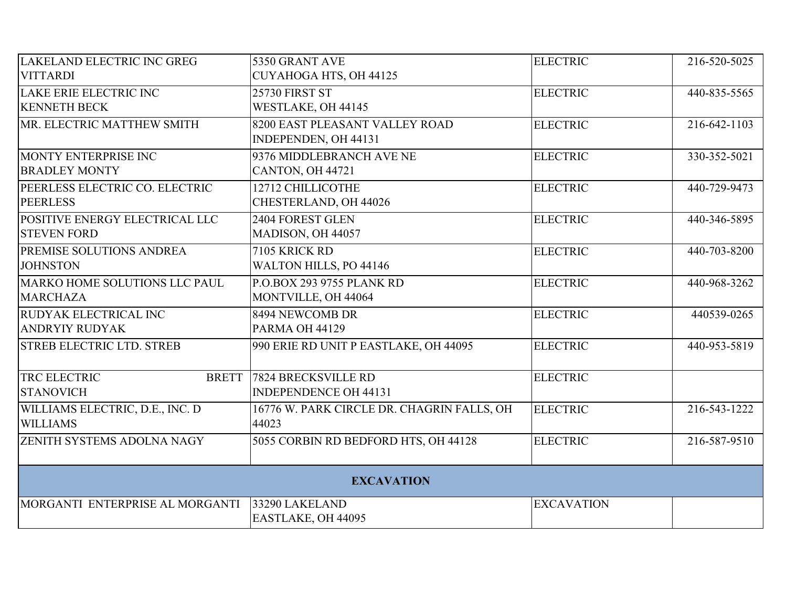| <b>LAKELAND ELECTRIC INC GREG</b> | 5350 GRANT AVE                             | <b>ELECTRIC</b>   | 216-520-5025 |
|-----------------------------------|--------------------------------------------|-------------------|--------------|
| <b>VITTARDI</b>                   | CUYAHOGA HTS, OH 44125                     |                   |              |
| LAKE ERIE ELECTRIC INC            | <b>25730 FIRST ST</b>                      | <b>ELECTRIC</b>   | 440-835-5565 |
| <b>KENNETH BECK</b>               | WESTLAKE, OH 44145                         |                   |              |
| MR. ELECTRIC MATTHEW SMITH        | 8200 EAST PLEASANT VALLEY ROAD             | <b>ELECTRIC</b>   | 216-642-1103 |
|                                   | INDEPENDEN, OH 44131                       |                   |              |
| MONTY ENTERPRISE INC              | 9376 MIDDLEBRANCH AVE NE                   | <b>ELECTRIC</b>   | 330-352-5021 |
| <b>BRADLEY MONTY</b>              | CANTON, OH 44721                           |                   |              |
| PEERLESS ELECTRIC CO. ELECTRIC    | 12712 CHILLICOTHE                          | <b>ELECTRIC</b>   | 440-729-9473 |
| <b>PEERLESS</b>                   | CHESTERLAND, OH 44026                      |                   |              |
| POSITIVE ENERGY ELECTRICAL LLC    | 2404 FOREST GLEN                           | <b>ELECTRIC</b>   | 440-346-5895 |
| <b>STEVEN FORD</b>                | MADISON, OH 44057                          |                   |              |
| PREMISE SOLUTIONS ANDREA          | 7105 KRICK RD                              | <b>ELECTRIC</b>   | 440-703-8200 |
| <b>JOHNSTON</b>                   | WALTON HILLS, PO 44146                     |                   |              |
| MARKO HOME SOLUTIONS LLC PAUL     | <b>P.O.BOX 293 9755 PLANK RD</b>           | <b>ELECTRIC</b>   | 440-968-3262 |
| <b>MARCHAZA</b>                   | MONTVILLE, OH 44064                        |                   |              |
| RUDYAK ELECTRICAL INC             | 8494 NEWCOMB DR                            | <b>ELECTRIC</b>   | 440539-0265  |
| <b>ANDRYIY RUDYAK</b>             | PARMA OH 44129                             |                   |              |
| <b>STREB ELECTRIC LTD. STREB</b>  | 990 ERIE RD UNIT P EASTLAKE, OH 44095      | <b>ELECTRIC</b>   | 440-953-5819 |
|                                   |                                            |                   |              |
| TRC ELECTRIC<br><b>BRETT</b>      | <b>7824 BRECKSVILLE RD</b>                 | <b>ELECTRIC</b>   |              |
| <b>STANOVICH</b>                  | <b>INDEPENDENCE OH 44131</b>               |                   |              |
| WILLIAMS ELECTRIC, D.E., INC. D   | 16776 W. PARK CIRCLE DR. CHAGRIN FALLS, OH | <b>ELECTRIC</b>   | 216-543-1222 |
| <b>WILLIAMS</b>                   | 44023                                      |                   |              |
| ZENITH SYSTEMS ADOLNA NAGY        | 5055 CORBIN RD BEDFORD HTS, OH 44128       | <b>ELECTRIC</b>   | 216-587-9510 |
|                                   |                                            |                   |              |
| <b>EXCAVATION</b>                 |                                            |                   |              |
| MORGANTI ENTERPRISE AL MORGANTI   | 33290 LAKELAND                             | <b>EXCAVATION</b> |              |
|                                   | EASTLAKE, OH 44095                         |                   |              |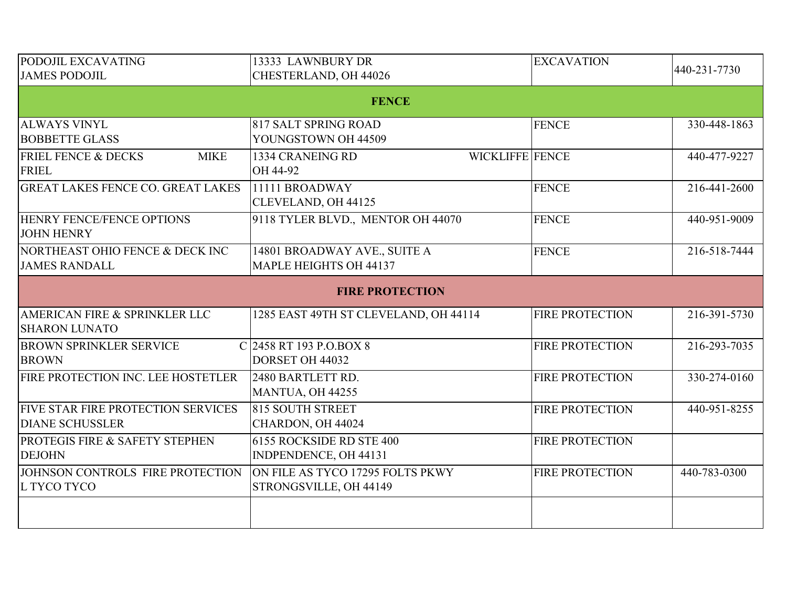| PODOJIL EXCAVATING                                            | 13333 LAWNBURY DR                                          | <b>EXCAVATION</b>      | 440-231-7730 |
|---------------------------------------------------------------|------------------------------------------------------------|------------------------|--------------|
| <b>JAMES PODOJIL</b>                                          | CHESTERLAND, OH 44026                                      |                        |              |
|                                                               | <b>FENCE</b>                                               |                        |              |
| <b>ALWAYS VINYL</b><br><b>BOBBETTE GLASS</b>                  | 817 SALT SPRING ROAD<br>YOUNGSTOWN OH 44509                | <b>FENCE</b>           | 330-448-1863 |
| <b>FRIEL FENCE &amp; DECKS</b><br><b>MIKE</b><br><b>FRIEL</b> | WICKLIFFE FENCE<br>1334 CRANEING RD<br>OH 44-92            |                        | 440-477-9227 |
| <b>GREAT LAKES FENCE CO. GREAT LAKES</b>                      | 11111 BROADWAY<br>CLEVELAND, OH 44125                      | <b>FENCE</b>           | 216-441-2600 |
| <b>HENRY FENCE/FENCE OPTIONS</b><br><b>JOHN HENRY</b>         | 9118 TYLER BLVD., MENTOR OH 44070                          | <b>FENCE</b>           | 440-951-9009 |
| NORTHEAST OHIO FENCE & DECK INC<br><b>JAMES RANDALL</b>       | 14801 BROADWAY AVE., SUITE A<br>MAPLE HEIGHTS OH 44137     | <b>FENCE</b>           | 216-518-7444 |
|                                                               | <b>FIRE PROTECTION</b>                                     |                        |              |
| AMERICAN FIRE & SPRINKLER LLC<br><b>SHARON LUNATO</b>         | 1285 EAST 49TH ST CLEVELAND, OH 44114                      | <b>FIRE PROTECTION</b> | 216-391-5730 |
| <b>BROWN SPRINKLER SERVICE</b><br><b>BROWN</b>                | C 2458 RT 193 P.O.BOX 8<br>DORSET OH 44032                 | <b>FIRE PROTECTION</b> | 216-293-7035 |
| FIRE PROTECTION INC. LEE HOSTETLER                            | 2480 BARTLETT RD.<br>MANTUA, OH 44255                      | <b>FIRE PROTECTION</b> | 330-274-0160 |
| FIVE STAR FIRE PROTECTION SERVICES<br><b>DIANE SCHUSSLER</b>  | 815 SOUTH STREET<br>CHARDON, OH 44024                      | <b>FIRE PROTECTION</b> | 440-951-8255 |
| PROTEGIS FIRE & SAFETY STEPHEN<br><b>DEJOHN</b>               | 6155 ROCKSIDE RD STE 400<br>INDPENDENCE, OH 44131          | <b>FIRE PROTECTION</b> |              |
| JOHNSON CONTROLS FIRE PROTECTION<br>L TYCO TYCO               | ON FILE AS TYCO 17295 FOLTS PKWY<br>STRONGSVILLE, OH 44149 | <b>FIRE PROTECTION</b> | 440-783-0300 |
|                                                               |                                                            |                        |              |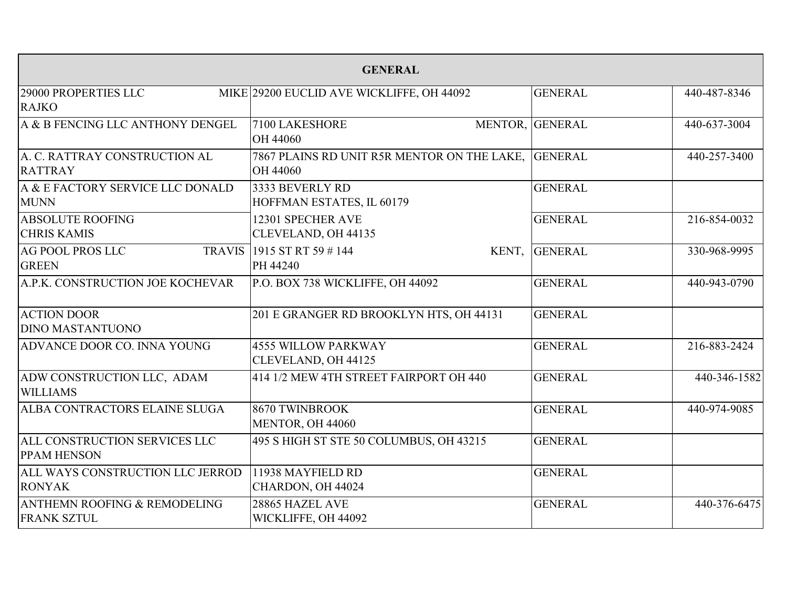| <b>GENERAL</b>                                                |                                                         |                 |              |
|---------------------------------------------------------------|---------------------------------------------------------|-----------------|--------------|
| 29000 PROPERTIES LLC<br><b>RAJKO</b>                          | MIKE 29200 EUCLID AVE WICKLIFFE, OH 44092               | <b>GENERAL</b>  | 440-487-8346 |
| A & B FENCING LLC ANTHONY DENGEL                              | 7100 LAKESHORE<br>OH 44060                              | MENTOR, GENERAL | 440-637-3004 |
| A. C. RATTRAY CONSTRUCTION AL<br><b>RATTRAY</b>               | 7867 PLAINS RD UNIT R5R MENTOR ON THE LAKE,<br>OH 44060 | <b>GENERAL</b>  | 440-257-3400 |
| A & E FACTORY SERVICE LLC DONALD<br><b>MUNN</b>               | 3333 BEVERLY RD<br>HOFFMAN ESTATES, IL 60179            | <b>GENERAL</b>  |              |
| <b>ABSOLUTE ROOFING</b><br><b>CHRIS KAMIS</b>                 | 12301 SPECHER AVE<br>CLEVELAND, OH 44135                | <b>GENERAL</b>  | 216-854-0032 |
| <b>AG POOL PROS LLC</b><br><b>TRAVIS</b><br><b>GREEN</b>      | 1915 ST RT 59 #144<br>KENT,<br>PH 44240                 | <b>GENERAL</b>  | 330-968-9995 |
| A.P.K. CONSTRUCTION JOE KOCHEVAR                              | P.O. BOX 738 WICKLIFFE, OH 44092                        | <b>GENERAL</b>  | 440-943-0790 |
| <b>ACTION DOOR</b><br><b>DINO MASTANTUONO</b>                 | 201 E GRANGER RD BROOKLYN HTS, OH 44131                 | <b>GENERAL</b>  |              |
| ADVANCE DOOR CO. INNA YOUNG                                   | <b>4555 WILLOW PARKWAY</b><br>CLEVELAND, OH 44125       | <b>GENERAL</b>  | 216-883-2424 |
| ADW CONSTRUCTION LLC, ADAM<br><b>WILLIAMS</b>                 | 414 1/2 MEW 4TH STREET FAIRPORT OH 440                  | <b>GENERAL</b>  | 440-346-1582 |
| ALBA CONTRACTORS ELAINE SLUGA                                 | 8670 TWINBROOK<br>MENTOR, OH 44060                      | <b>GENERAL</b>  | 440-974-9085 |
| ALL CONSTRUCTION SERVICES LLC<br><b>PPAM HENSON</b>           | 495 S HIGH ST STE 50 COLUMBUS, OH 43215                 | <b>GENERAL</b>  |              |
| ALL WAYS CONSTRUCTION LLC JERROD<br><b>RONYAK</b>             | 11938 MAYFIELD RD<br>CHARDON, OH 44024                  | <b>GENERAL</b>  |              |
| <b>ANTHEMN ROOFING &amp; REMODELING</b><br><b>FRANK SZTUL</b> | 28865 HAZEL AVE<br>WICKLIFFE, OH 44092                  | <b>GENERAL</b>  | 440-376-6475 |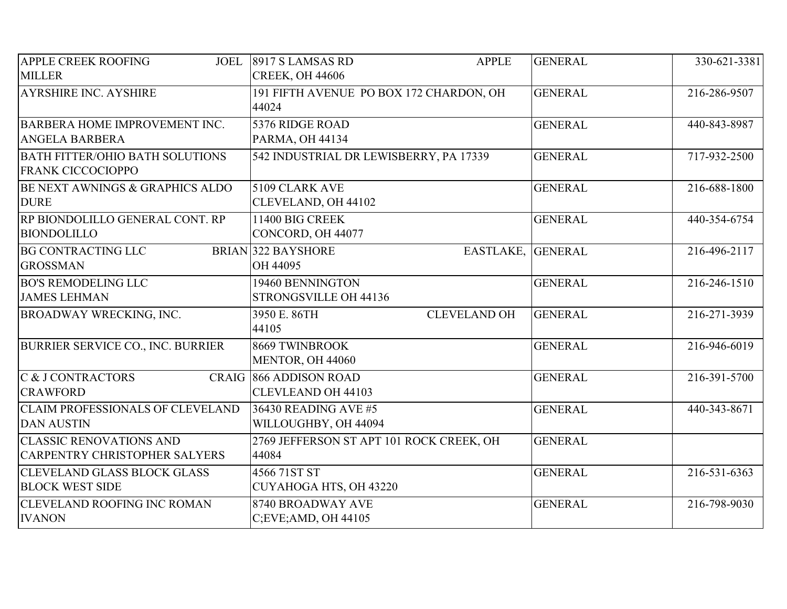| <b>APPLE CREEK ROOFING</b><br>JOEL                                     | 8917 S LAMSAS RD<br><b>APPLE</b>                           | <b>GENERAL</b> | 330-621-3381 |
|------------------------------------------------------------------------|------------------------------------------------------------|----------------|--------------|
| <b>MILLER</b>                                                          | <b>CREEK, OH 44606</b>                                     |                |              |
| <b>AYRSHIRE INC. AYSHIRE</b>                                           | 191 FIFTH AVENUE PO BOX 172 CHARDON, OH<br>44024           | <b>GENERAL</b> | 216-286-9507 |
| <b>BARBERA HOME IMPROVEMENT INC.</b><br><b>ANGELA BARBERA</b>          | 5376 RIDGE ROAD<br><b>PARMA, OH 44134</b>                  | <b>GENERAL</b> | 440-843-8987 |
| <b>BATH FITTER/OHIO BATH SOLUTIONS</b><br><b>FRANK CICCOCIOPPO</b>     | 542 INDUSTRIAL DR LEWISBERRY, PA 17339                     | <b>GENERAL</b> | 717-932-2500 |
| BE NEXT AWNINGS & GRAPHICS ALDO<br><b>DURE</b>                         | 5109 CLARK AVE<br>CLEVELAND, OH 44102                      | <b>GENERAL</b> | 216-688-1800 |
| RP BIONDOLILLO GENERAL CONT. RP<br><b>BIONDOLILLO</b>                  | 11400 BIG CREEK<br>CONCORD, OH 44077                       | <b>GENERAL</b> | 440-354-6754 |
| <b>BG CONTRACTING LLC</b><br><b>GROSSMAN</b>                           | <b>BRIAN 322 BAYSHORE</b><br>EASTLAKE, GENERAL<br>OH 44095 |                | 216-496-2117 |
| <b>BO'S REMODELING LLC</b><br><b>JAMES LEHMAN</b>                      | 19460 BENNINGTON<br>STRONGSVILLE OH 44136                  | <b>GENERAL</b> | 216-246-1510 |
| <b>BROADWAY WRECKING, INC.</b>                                         | 3950 E. 86TH<br><b>CLEVELAND OH</b><br>44105               | <b>GENERAL</b> | 216-271-3939 |
| <b>BURRIER SERVICE CO., INC. BURRIER</b>                               | 8669 TWINBROOK<br>MENTOR, OH 44060                         | <b>GENERAL</b> | 216-946-6019 |
| C & J CONTRACTORS<br><b>CRAWFORD</b>                                   | CRAIG 866 ADDISON ROAD<br><b>CLEVLEAND OH 44103</b>        | <b>GENERAL</b> | 216-391-5700 |
| <b>CLAIM PROFESSIONALS OF CLEVELAND</b><br><b>DAN AUSTIN</b>           | 36430 READING AVE #5<br>WILLOUGHBY, OH 44094               | <b>GENERAL</b> | 440-343-8671 |
| <b>CLASSIC RENOVATIONS AND</b><br><b>CARPENTRY CHRISTOPHER SALYERS</b> | 2769 JEFFERSON ST APT 101 ROCK CREEK, OH<br>44084          | <b>GENERAL</b> |              |
| <b>CLEVELAND GLASS BLOCK GLASS</b><br><b>BLOCK WEST SIDE</b>           | 4566 71ST ST<br>CUYAHOGA HTS, OH 43220                     | <b>GENERAL</b> | 216-531-6363 |
| <b>CLEVELAND ROOFING INC ROMAN</b><br><b>IVANON</b>                    | <b>8740 BROADWAY AVE</b><br>$C$ ; EVE; AMD, OH 44105       | <b>GENERAL</b> | 216-798-9030 |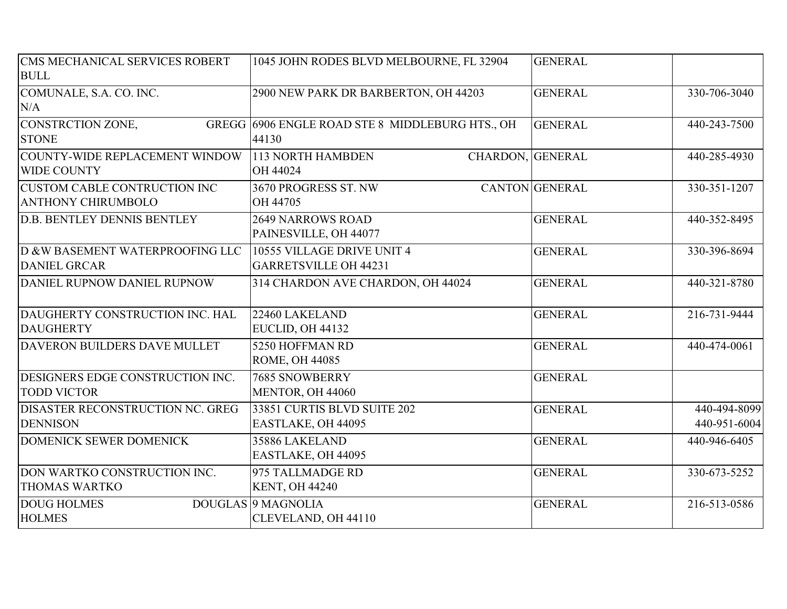| CMS MECHANICAL SERVICES ROBERT      | 1045 JOHN RODES BLVD MELBOURNE, FL 32904        | <b>GENERAL</b>        |              |
|-------------------------------------|-------------------------------------------------|-----------------------|--------------|
| <b>BULL</b>                         |                                                 |                       |              |
| COMUNALE, S.A. CO. INC.             | 2900 NEW PARK DR BARBERTON, OH 44203            | <b>GENERAL</b>        | 330-706-3040 |
| N/A                                 |                                                 |                       |              |
| CONSTRCTION ZONE,                   | GREGG 6906 ENGLE ROAD STE 8 MIDDLEBURG HTS., OH | <b>GENERAL</b>        | 440-243-7500 |
| <b>STONE</b>                        | 44130                                           |                       |              |
| COUNTY-WIDE REPLACEMENT WINDOW      | 113 NORTH HAMBDEN<br>CHARDON, GENERAL           |                       | 440-285-4930 |
| <b>WIDE COUNTY</b>                  | OH 44024                                        |                       |              |
| <b>CUSTOM CABLE CONTRUCTION INC</b> | 3670 PROGRESS ST. NW                            | <b>CANTON</b> GENERAL | 330-351-1207 |
| <b>ANTHONY CHIRUMBOLO</b>           | OH 44705                                        |                       |              |
| <b>D.B. BENTLEY DENNIS BENTLEY</b>  | <b>2649 NARROWS ROAD</b>                        | <b>GENERAL</b>        | 440-352-8495 |
|                                     | PAINESVILLE, OH 44077                           |                       |              |
| D &W BASEMENT WATERPROOFING LLC     | 10555 VILLAGE DRIVE UNIT 4                      | <b>GENERAL</b>        | 330-396-8694 |
| <b>DANIEL GRCAR</b>                 | <b>GARRETSVILLE OH 44231</b>                    |                       |              |
| DANIEL RUPNOW DANIEL RUPNOW         | 314 CHARDON AVE CHARDON, OH 44024               | <b>GENERAL</b>        | 440-321-8780 |
|                                     |                                                 |                       |              |
| DAUGHERTY CONSTRUCTION INC. HAL     | 22460 LAKELAND                                  | <b>GENERAL</b>        | 216-731-9444 |
| <b>DAUGHERTY</b>                    | EUCLID, OH 44132                                |                       |              |
| DAVERON BUILDERS DAVE MULLET        | 5250 HOFFMAN RD                                 | <b>GENERAL</b>        | 440-474-0061 |
|                                     | <b>ROME, OH 44085</b>                           |                       |              |
| DESIGNERS EDGE CONSTRUCTION INC.    | <b>7685 SNOWBERRY</b>                           | <b>GENERAL</b>        |              |
| <b>TODD VICTOR</b>                  | MENTOR, OH 44060                                |                       |              |
| DISASTER RECONSTRUCTION NC. GREG    | 33851 CURTIS BLVD SUITE 202                     | <b>GENERAL</b>        | 440-494-8099 |
| <b>DENNISON</b>                     | EASTLAKE, OH 44095                              |                       | 440-951-6004 |
| DOMENICK SEWER DOMENICK             | 35886 LAKELAND                                  | <b>GENERAL</b>        | 440-946-6405 |
|                                     | EASTLAKE, OH 44095                              |                       |              |
| DON WARTKO CONSTRUCTION INC.        | 975 TALLMADGE RD                                | <b>GENERAL</b>        | 330-673-5252 |
| <b>THOMAS WARTKO</b>                | <b>KENT, OH 44240</b>                           |                       |              |
| <b>DOUG HOLMES</b>                  | DOUGLAS 9 MAGNOLIA                              | <b>GENERAL</b>        | 216-513-0586 |
| <b>HOLMES</b>                       | CLEVELAND, OH 44110                             |                       |              |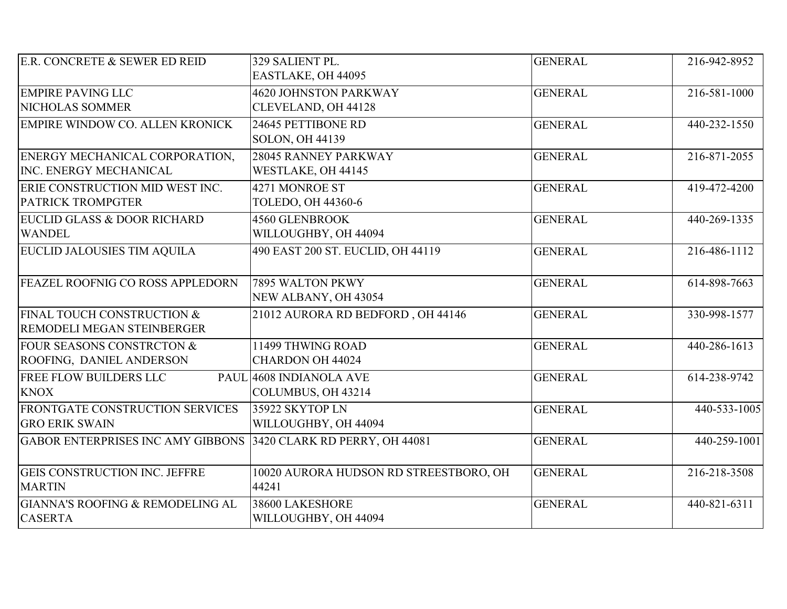| E.R. CONCRETE & SEWER ED REID                                   | 329 SALIENT PL.<br>EASTLAKE, OH 44095               | <b>GENERAL</b> | 216-942-8952       |
|-----------------------------------------------------------------|-----------------------------------------------------|----------------|--------------------|
| <b>EMPIRE PAVING LLC</b><br>NICHOLAS SOMMER                     | <b>4620 JOHNSTON PARKWAY</b><br>CLEVELAND, OH 44128 | <b>GENERAL</b> | 216-581-1000       |
| EMPIRE WINDOW CO. ALLEN KRONICK                                 | 24645 PETTIBONE RD<br><b>SOLON, OH 44139</b>        | <b>GENERAL</b> | 440-232-1550       |
| ENERGY MECHANICAL CORPORATION,<br><b>INC. ENERGY MECHANICAL</b> | 28045 RANNEY PARKWAY<br>WESTLAKE, OH 44145          | <b>GENERAL</b> | 216-871-2055       |
| ERIE CONSTRUCTION MID WEST INC.<br><b>PATRICK TROMPGTER</b>     | 4271 MONROE ST<br>TOLEDO, OH 44360-6                | <b>GENERAL</b> | 419-472-4200       |
| EUCLID GLASS & DOOR RICHARD<br><b>WANDEL</b>                    | 4560 GLENBROOK<br>WILLOUGHBY, OH 44094              | <b>GENERAL</b> | 440-269-1335       |
| <b>EUCLID JALOUSIES TIM AQUILA</b>                              | 490 EAST 200 ST. EUCLID, OH 44119                   | <b>GENERAL</b> | 216-486-1112       |
| FEAZEL ROOFNIG CO ROSS APPLEDORN                                | 7895 WALTON PKWY<br>NEW ALBANY, OH 43054            | <b>GENERAL</b> | $614 - 898 - 7663$ |
| FINAL TOUCH CONSTRUCTION &<br><b>REMODELI MEGAN STEINBERGER</b> | 21012 AURORA RD BEDFORD, OH 44146                   | <b>GENERAL</b> | 330-998-1577       |
| FOUR SEASONS CONSTRCTON &<br>ROOFING, DANIEL ANDERSON           | 11499 THWING ROAD<br>CHARDON OH 44024               | <b>GENERAL</b> | 440-286-1613       |
| <b>FREE FLOW BUILDERS LLC</b><br><b>KNOX</b>                    | PAUL 4608 INDIANOLA AVE<br>COLUMBUS, OH 43214       | <b>GENERAL</b> | 614-238-9742       |
| FRONTGATE CONSTRUCTION SERVICES<br><b>GRO ERIK SWAIN</b>        | 35922 SKYTOP LN<br>WILLOUGHBY, OH 44094             | <b>GENERAL</b> | $440-533-1005$     |
| GABOR ENTERPRISES INC AMY GIBBONS 3420 CLARK RD PERRY, OH 44081 |                                                     | <b>GENERAL</b> | 440-259-1001       |
| <b>GEIS CONSTRUCTION INC. JEFFRE</b><br><b>MARTIN</b>           | 10020 AURORA HUDSON RD STREESTBORO, OH<br>44241     | <b>GENERAL</b> | 216-218-3508       |
| <b>GIANNA'S ROOFING &amp; REMODELING AL</b><br><b>CASERTA</b>   | 38600 LAKESHORE<br>WILLOUGHBY, OH 44094             | <b>GENERAL</b> | 440-821-6311       |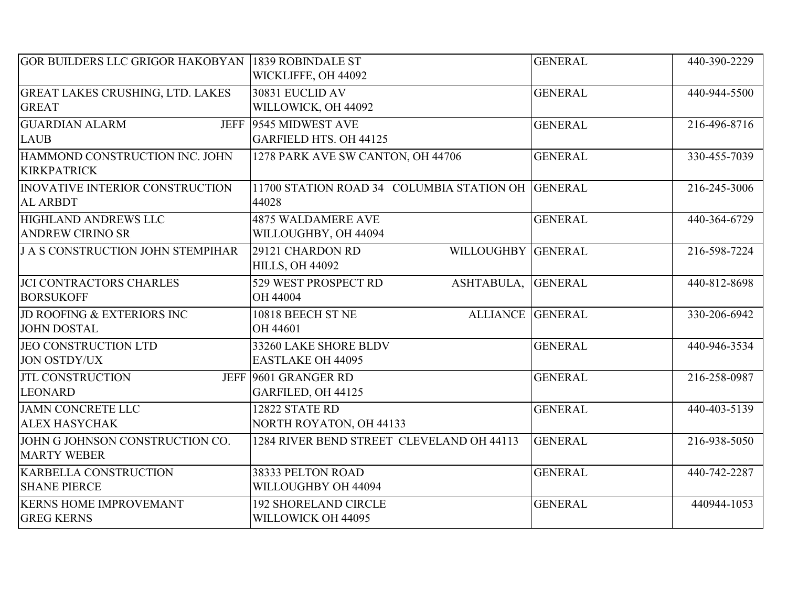| <b>GOR BUILDERS LLC GRIGOR HAKOBYAN 1839 ROBINDALE ST</b> | WICKLIFFE, OH 44092                                              | <b>GENERAL</b> | 440-390-2229 |
|-----------------------------------------------------------|------------------------------------------------------------------|----------------|--------------|
| <b>GREAT LAKES CRUSHING, LTD. LAKES</b><br><b>GREAT</b>   | 30831 EUCLID AV<br>WILLOWICK, OH 44092                           | <b>GENERAL</b> | 440-944-5500 |
| <b>GUARDIAN ALARM</b><br><b>LAUB</b>                      | JEFF 9545 MIDWEST AVE<br><b>GARFIELD HTS. OH 44125</b>           | <b>GENERAL</b> | 216-496-8716 |
| HAMMOND CONSTRUCTION INC. JOHN<br><b>KIRKPATRICK</b>      | 1278 PARK AVE SW CANTON, OH 44706                                | <b>GENERAL</b> | 330-455-7039 |
| <b>INOVATIVE INTERIOR CONSTRUCTION</b><br><b>AL ARBDT</b> | 11700 STATION ROAD 34 COLUMBIA STATION OH GENERAL<br>44028       |                | 216-245-3006 |
| <b>HIGHLAND ANDREWS LLC</b><br><b>ANDREW CIRINO SR</b>    | <b>4875 WALDAMERE AVE</b><br>WILLOUGHBY, OH 44094                | <b>GENERAL</b> | 440-364-6729 |
| J A S CONSTRUCTION JOHN STEMPIHAR                         | 29121 CHARDON RD<br>WILLOUGHBY GENERAL<br><b>HILLS, OH 44092</b> |                | 216-598-7224 |
| <b>JCI CONTRACTORS CHARLES</b><br><b>BORSUKOFF</b>        | ASHTABULA,<br>529 WEST PROSPECT RD<br>OH 44004                   | <b>GENERAL</b> | 440-812-8698 |
| JD ROOFING & EXTERIORS INC<br><b>JOHN DOSTAL</b>          | 10818 BEECH ST NE<br><b>ALLIANCE GENERAL</b><br>OH 44601         |                | 330-206-6942 |
| JEO CONSTRUCTION LTD<br><b>JON OSTDY/UX</b>               | 33260 LAKE SHORE BLDV<br><b>EASTLAKE OH 44095</b>                | <b>GENERAL</b> | 440-946-3534 |
| <b>JTL CONSTRUCTION</b><br><b>LEONARD</b>                 | JEFF 9601 GRANGER RD<br>GARFILED, OH 44125                       | <b>GENERAL</b> | 216-258-0987 |
| <b>JAMN CONCRETE LLC</b><br><b>ALEX HASYCHAK</b>          | 12822 STATE RD<br><b>NORTH ROYATON, OH 44133</b>                 | <b>GENERAL</b> | 440-403-5139 |
| JOHN G JOHNSON CONSTRUCTION CO.<br><b>MARTY WEBER</b>     | 1284 RIVER BEND STREET CLEVELAND OH 44113                        | <b>GENERAL</b> | 216-938-5050 |
| <b>KARBELLA CONSTRUCTION</b><br><b>SHANE PIERCE</b>       | 38333 PELTON ROAD<br>WILLOUGHBY OH 44094                         | <b>GENERAL</b> | 440-742-2287 |
| <b>KERNS HOME IMPROVEMANT</b><br><b>GREG KERNS</b>        | <b>192 SHORELAND CIRCLE</b><br>WILLOWICK OH 44095                | <b>GENERAL</b> | 440944-1053  |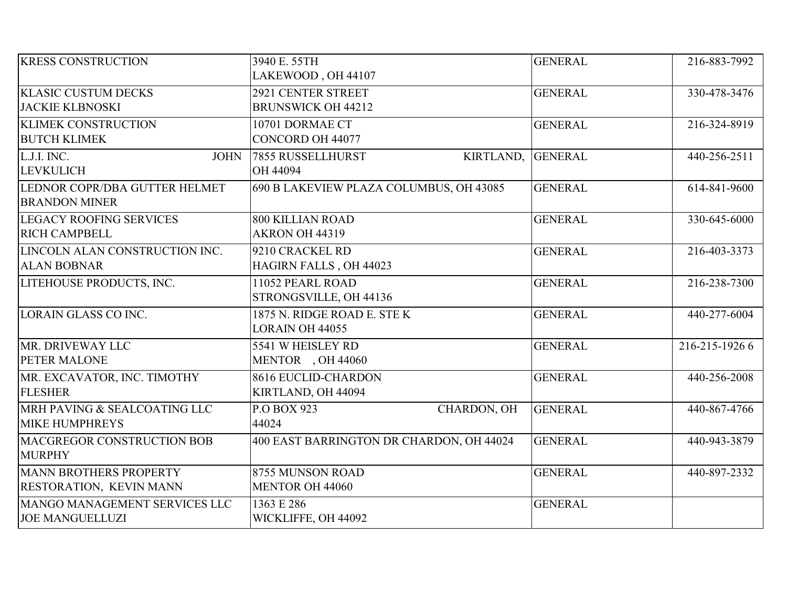| <b>KRESS CONSTRUCTION</b>      | 3940 E. 55TH                             | <b>GENERAL</b> | 216-883-7992   |
|--------------------------------|------------------------------------------|----------------|----------------|
|                                | LAKEWOOD, OH 44107                       |                |                |
| <b>KLASIC CUSTUM DECKS</b>     | 2921 CENTER STREET                       | <b>GENERAL</b> | 330-478-3476   |
| <b>JACKIE KLBNOSKI</b>         | <b>BRUNSWICK OH 44212</b>                |                |                |
| <b>KLIMEK CONSTRUCTION</b>     | 10701 DORMAE CT                          | <b>GENERAL</b> | 216-324-8919   |
| <b>BUTCH KLIMEK</b>            | CONCORD OH 44077                         |                |                |
| L.J.I. INC.<br><b>JOHN</b>     | 7855 RUSSELLHURST<br>KIRTLAND,           | <b>GENERAL</b> | 440-256-2511   |
| <b>LEVKULICH</b>               | OH 44094                                 |                |                |
| LEDNOR COPR/DBA GUTTER HELMET  | 690 B LAKEVIEW PLAZA COLUMBUS, OH 43085  | <b>GENERAL</b> | 614-841-9600   |
| <b>BRANDON MINER</b>           |                                          |                |                |
| <b>LEGACY ROOFING SERVICES</b> | <b>800 KILLIAN ROAD</b>                  | <b>GENERAL</b> | 330-645-6000   |
| <b>RICH CAMPBELL</b>           | AKRON OH 44319                           |                |                |
| LINCOLN ALAN CONSTRUCTION INC. | 9210 CRACKEL RD                          | <b>GENERAL</b> | 216-403-3373   |
| <b>ALAN BOBNAR</b>             | HAGIRN FALLS, OH 44023                   |                |                |
| LITEHOUSE PRODUCTS, INC.       | 11052 PEARL ROAD                         | <b>GENERAL</b> | 216-238-7300   |
|                                | STRONGSVILLE, OH 44136                   |                |                |
| LORAIN GLASS CO INC.           | 1875 N. RIDGE ROAD E. STEK               | <b>GENERAL</b> | 440-277-6004   |
|                                | <b>LORAIN OH 44055</b>                   |                |                |
| MR. DRIVEWAY LLC               | 5541 W HEISLEY RD                        | <b>GENERAL</b> | 216-215-1926 6 |
| <b>PETER MALONE</b>            | MENTOR, OH 44060                         |                |                |
| MR. EXCAVATOR, INC. TIMOTHY    | 8616 EUCLID-CHARDON                      | <b>GENERAL</b> | 440-256-2008   |
| <b>FLESHER</b>                 | KIRTLAND, OH 44094                       |                |                |
| MRH PAVING & SEALCOATING LLC   | CHARDON, OH<br>P.O BOX 923               | <b>GENERAL</b> | 440-867-4766   |
| <b>MIKE HUMPHREYS</b>          | 44024                                    |                |                |
| MACGREGOR CONSTRUCTION BOB     | 400 EAST BARRINGTON DR CHARDON, OH 44024 | <b>GENERAL</b> | 440-943-3879   |
| <b>MURPHY</b>                  |                                          |                |                |
| <b>MANN BROTHERS PROPERTY</b>  | 8755 MUNSON ROAD                         | <b>GENERAL</b> | 440-897-2332   |
| <b>RESTORATION, KEVIN MANN</b> | <b>MENTOR OH 44060</b>                   |                |                |
| MANGO MANAGEMENT SERVICES LLC  | 1363 E 286                               | <b>GENERAL</b> |                |
| <b>JOE MANGUELLUZI</b>         | WICKLIFFE, OH 44092                      |                |                |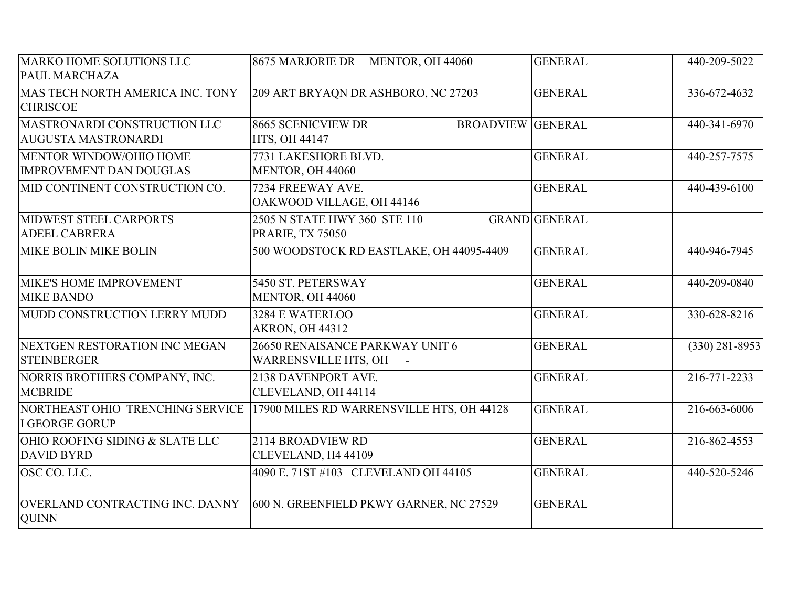| MARKO HOME SOLUTIONS LLC<br>PAUL MARCHAZA                  | 8675 MARJORIE DR MENTOR, OH 44060                               | <b>GENERAL</b>       | 440-209-5022       |
|------------------------------------------------------------|-----------------------------------------------------------------|----------------------|--------------------|
| MAS TECH NORTH AMERICA INC. TONY<br><b>CHRISCOE</b>        | 209 ART BRYAQN DR ASHBORO, NC 27203                             | <b>GENERAL</b>       | 336-672-4632       |
| MASTRONARDI CONSTRUCTION LLC<br><b>AUGUSTA MASTRONARDI</b> | 8665 SCENICVIEW DR<br><b>BROADVIEW GENERAL</b><br>HTS, OH 44147 |                      | 440-341-6970       |
| MENTOR WINDOW/OHIO HOME<br><b>IMPROVEMENT DAN DOUGLAS</b>  | 7731 LAKESHORE BLVD.<br>MENTOR, OH 44060                        | <b>GENERAL</b>       | 440-257-7575       |
| MID CONTINENT CONSTRUCTION CO.                             | 7234 FREEWAY AVE.<br>OAKWOOD VILLAGE, OH 44146                  | <b>GENERAL</b>       | 440-439-6100       |
| MIDWEST STEEL CARPORTS<br><b>ADEEL CABRERA</b>             | 2505 N STATE HWY 360 STE 110<br><b>PRARIE, TX 75050</b>         | <b>GRAND</b> GENERAL |                    |
| <b>MIKE BOLIN MIKE BOLIN</b>                               | 500 WOODSTOCK RD EASTLAKE, OH 44095-4409                        | <b>GENERAL</b>       | 440-946-7945       |
| MIKE'S HOME IMPROVEMENT<br><b>MIKE BANDO</b>               | 5450 ST. PETERSWAY<br>MENTOR, OH 44060                          | <b>GENERAL</b>       | 440-209-0840       |
| MUDD CONSTRUCTION LERRY MUDD                               | 3284 E WATERLOO<br><b>AKRON, OH 44312</b>                       | <b>GENERAL</b>       | 330-628-8216       |
| NEXTGEN RESTORATION INC MEGAN<br><b>STEINBERGER</b>        | 26650 RENAISANCE PARKWAY UNIT 6<br>WARRENSVILLE HTS, OH -       | <b>GENERAL</b>       | $(330) 281 - 8953$ |
| NORRIS BROTHERS COMPANY, INC.<br><b>MCBRIDE</b>            | 2138 DAVENPORT AVE.<br>CLEVELAND, OH 44114                      | <b>GENERAL</b>       | 216-771-2233       |
| NORTHEAST OHIO TRENCHING SERVICE<br>I GEORGE GORUP         | 17900 MILES RD WARRENSVILLE HTS, OH 44128                       | <b>GENERAL</b>       | 216-663-6006       |
| OHIO ROOFING SIDING & SLATE LLC<br><b>DAVID BYRD</b>       | 2114 BROADVIEW RD<br>CLEVELAND, H4 44109                        | <b>GENERAL</b>       | 216-862-4553       |
| OSC CO. LLC.                                               | 4090 E. 71ST #103 CLEVELAND OH 44105                            | <b>GENERAL</b>       | 440-520-5246       |
| OVERLAND CONTRACTING INC. DANNY<br><b>QUINN</b>            | 600 N. GREENFIELD PKWY GARNER, NC 27529                         | <b>GENERAL</b>       |                    |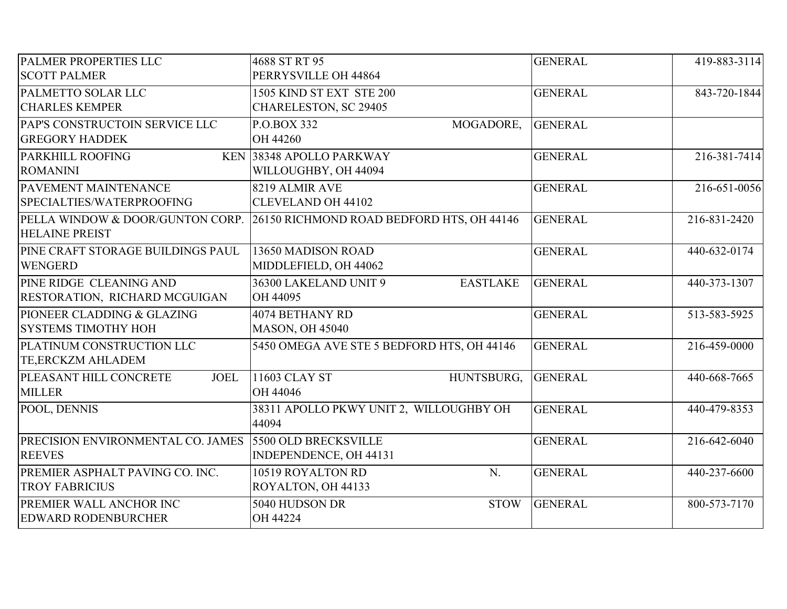| PALMER PROPERTIES LLC                 | 4688 ST RT 95                              | <b>GENERAL</b> | 419-883-3114 |
|---------------------------------------|--------------------------------------------|----------------|--------------|
| <b>SCOTT PALMER</b>                   | PERRYSVILLE OH 44864                       |                |              |
| PALMETTO SOLAR LLC                    | 1505 KIND ST EXT STE 200                   | <b>GENERAL</b> | 843-720-1844 |
| <b>CHARLES KEMPER</b>                 | CHARELESTON, SC 29405                      |                |              |
| PAP'S CONSTRUCTOIN SERVICE LLC        | P.O.BOX 332<br>MOGADORE,                   | <b>GENERAL</b> |              |
| <b>GREGORY HADDEK</b>                 | OH 44260                                   |                |              |
| PARKHILL ROOFING                      | KEN 38348 APOLLO PARKWAY                   | <b>GENERAL</b> | 216-381-7414 |
| <b>ROMANINI</b>                       | WILLOUGHBY, OH 44094                       |                |              |
| PAVEMENT MAINTENANCE                  | 8219 ALMIR AVE                             | <b>GENERAL</b> | 216-651-0056 |
| SPECIALTIES/WATERPROOFING             | <b>CLEVELAND OH 44102</b>                  |                |              |
| PELLA WINDOW & DOOR/GUNTON CORP.      | 26150 RICHMOND ROAD BEDFORD HTS, OH 44146  | <b>GENERAL</b> | 216-831-2420 |
| <b>HELAINE PREIST</b>                 |                                            |                |              |
| PINE CRAFT STORAGE BUILDINGS PAUL     | 13650 MADISON ROAD                         | <b>GENERAL</b> | 440-632-0174 |
| <b>WENGERD</b>                        | MIDDLEFIELD, OH 44062                      |                |              |
| PINE RIDGE CLEANING AND               | 36300 LAKELAND UNIT 9<br><b>EASTLAKE</b>   | <b>GENERAL</b> | 440-373-1307 |
| RESTORATION, RICHARD MCGUIGAN         | OH 44095                                   |                |              |
| PIONEER CLADDING & GLAZING            | 4074 BETHANY RD                            | <b>GENERAL</b> | 513-583-5925 |
| <b>SYSTEMS TIMOTHY HOH</b>            | <b>MASON, OH 45040</b>                     |                |              |
| PLATINUM CONSTRUCTION LLC             | 5450 OMEGA AVE STE 5 BEDFORD HTS, OH 44146 | <b>GENERAL</b> | 216-459-0000 |
| TE, ERCKZM AHLADEM                    |                                            |                |              |
| PLEASANT HILL CONCRETE<br><b>JOEL</b> | HUNTSBURG,<br>11603 CLAY ST                | <b>GENERAL</b> | 440-668-7665 |
| <b>MILLER</b>                         | OH 44046                                   |                |              |
| POOL, DENNIS                          | 38311 APOLLO PKWY UNIT 2, WILLOUGHBY OH    | <b>GENERAL</b> | 440-479-8353 |
|                                       | 44094                                      |                |              |
| PRECISION ENVIRONMENTAL CO. JAMES     | 5500 OLD BRECKSVILLE                       | <b>GENERAL</b> | 216-642-6040 |
| <b>REEVES</b>                         | INDEPENDENCE, OH 44131                     |                |              |
| PREMIER ASPHALT PAVING CO. INC.       | 10519 ROYALTON RD<br>N.                    | <b>GENERAL</b> | 440-237-6600 |
| <b>TROY FABRICIUS</b>                 | ROYALTON, OH 44133                         |                |              |
| PREMIER WALL ANCHOR INC               | 5040 HUDSON DR<br><b>STOW</b>              | <b>GENERAL</b> | 800-573-7170 |
| <b>EDWARD RODENBURCHER</b>            | OH 44224                                   |                |              |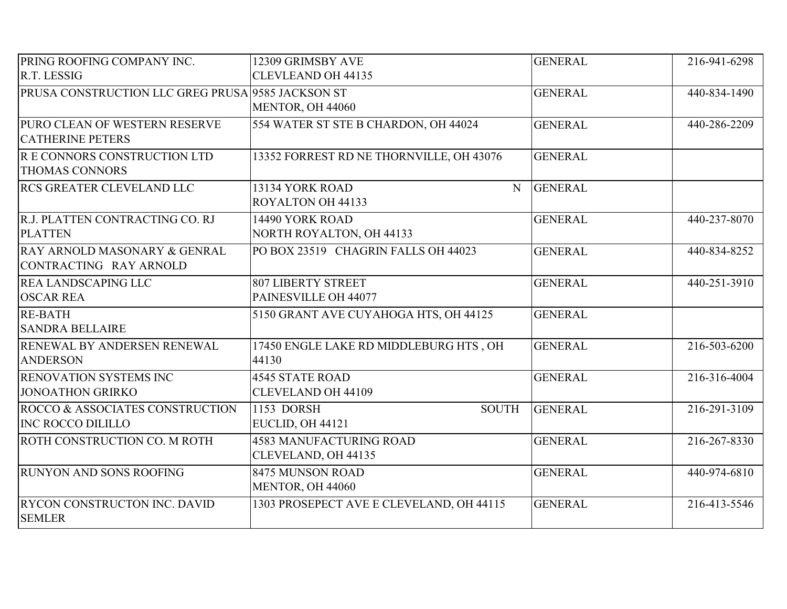| PRING ROOFING COMPANY INC.                        | 12309 GRIMSBY AVE                        | <b>GENERAL</b> | 216-941-6298 |
|---------------------------------------------------|------------------------------------------|----------------|--------------|
| R.T. LESSIG                                       | <b>CLEVLEAND OH 44135</b>                |                |              |
| PRUSA CONSTRUCTION LLC GREG PRUSA 9585 JACKSON ST |                                          | <b>GENERAL</b> | 440-834-1490 |
|                                                   | MENTOR, OH 44060                         |                |              |
| PURO CLEAN OF WESTERN RESERVE                     | 554 WATER ST STE B CHARDON, OH 44024     | <b>GENERAL</b> | 440-286-2209 |
| <b>CATHERINE PETERS</b>                           |                                          |                |              |
| R E CONNORS CONSTRUCTION LTD                      | 13352 FORREST RD NE THORNVILLE, OH 43076 | <b>GENERAL</b> |              |
| <b>THOMAS CONNORS</b>                             |                                          |                |              |
| <b>RCS GREATER CLEVELAND LLC</b>                  | 13134 YORK ROAD<br>N                     | <b>GENERAL</b> |              |
|                                                   | ROYALTON OH 44133                        |                |              |
| R.J. PLATTEN CONTRACTING CO. RJ                   | 14490 YORK ROAD                          | <b>GENERAL</b> | 440-237-8070 |
| <b>PLATTEN</b>                                    | <b>NORTH ROYALTON, OH 44133</b>          |                |              |
| RAY ARNOLD MASONARY & GENRAL                      | PO BOX 23519 CHAGRIN FALLS OH 44023      | <b>GENERAL</b> | 440-834-8252 |
| CONTRACTING RAY ARNOLD                            |                                          |                |              |
| <b>REA LANDSCAPING LLC</b>                        | <b>807 LIBERTY STREET</b>                | <b>GENERAL</b> | 440-251-3910 |
| <b>OSCAR REA</b>                                  | PAINESVILLE OH 44077                     |                |              |
| <b>RE-BATH</b>                                    | 5150 GRANT AVE CUYAHOGA HTS, OH 44125    | <b>GENERAL</b> |              |
| <b>SANDRA BELLAIRE</b>                            |                                          |                |              |
| RENEWAL BY ANDERSEN RENEWAL                       | 17450 ENGLE LAKE RD MIDDLEBURG HTS, OH   | <b>GENERAL</b> | 216-503-6200 |
| <b>ANDERSON</b>                                   | 44130                                    |                |              |
| RENOVATION SYSTEMS INC                            | <b>4545 STATE ROAD</b>                   | <b>GENERAL</b> | 216-316-4004 |
| <b>JONOATHON GRIRKO</b>                           | <b>CLEVELAND OH 44109</b>                |                |              |
| ROCCO & ASSOCIATES CONSTRUCTION                   | 1153 DORSH<br><b>SOUTH</b>               | <b>GENERAL</b> | 216-291-3109 |
| <b>INC ROCCO DILILLO</b>                          | EUCLID, OH 44121                         |                |              |
| <b>ROTH CONSTRUCTION CO. M ROTH</b>               | <b>4583 MANUFACTURING ROAD</b>           | <b>GENERAL</b> | 216-267-8330 |
|                                                   | CLEVELAND, OH 44135                      |                |              |
| <b>RUNYON AND SONS ROOFING</b>                    | 8475 MUNSON ROAD                         | <b>GENERAL</b> | 440-974-6810 |
|                                                   | MENTOR, OH 44060                         |                |              |
| <b>RYCON CONSTRUCTON INC. DAVID</b>               | 1303 PROSEPECT AVE E CLEVELAND, OH 44115 | <b>GENERAL</b> | 216-413-5546 |
| <b>SEMLER</b>                                     |                                          |                |              |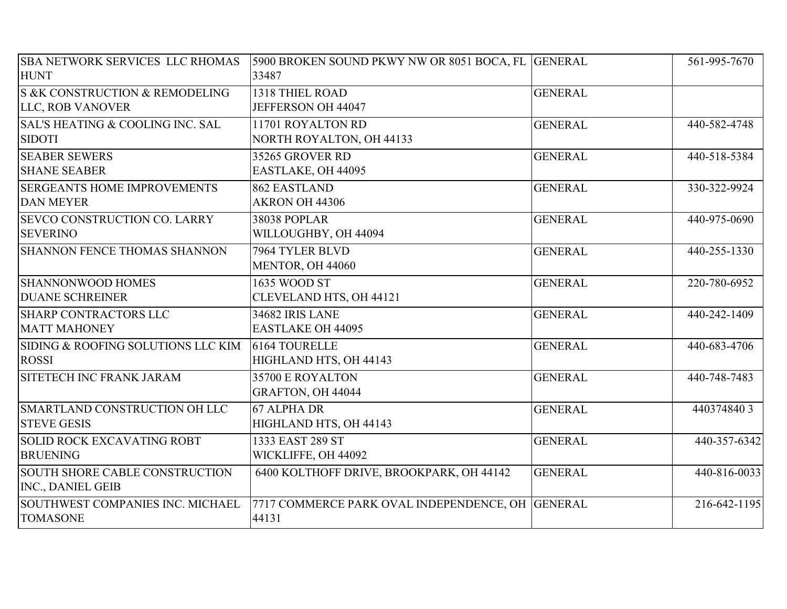| <b>SBA NETWORK SERVICES LLC RHOMAS</b>      | 5900 BROKEN SOUND PKWY NW OR 8051 BOCA, FL GENERAL |                | 561-995-7670 |
|---------------------------------------------|----------------------------------------------------|----------------|--------------|
| <b>HUNT</b>                                 | 33487                                              |                |              |
| S &K CONSTRUCTION & REMODELING              | 1318 THIEL ROAD                                    | <b>GENERAL</b> |              |
| LLC, ROB VANOVER                            | JEFFERSON OH 44047                                 |                |              |
| <b>SAL'S HEATING &amp; COOLING INC. SAL</b> | 11701 ROYALTON RD                                  | <b>GENERAL</b> | 440-582-4748 |
| <b>SIDOTI</b>                               | NORTH ROYALTON, OH 44133                           |                |              |
| <b>SEABER SEWERS</b>                        | 35265 GROVER RD                                    | <b>GENERAL</b> | 440-518-5384 |
| <b>SHANE SEABER</b>                         | EASTLAKE, OH 44095                                 |                |              |
| <b>SERGEANTS HOME IMPROVEMENTS</b>          | 862 EASTLAND                                       | <b>GENERAL</b> | 330-322-9924 |
| <b>DAN MEYER</b>                            | AKRON OH 44306                                     |                |              |
| <b>SEVCO CONSTRUCTION CO. LARRY</b>         | <b>38038 POPLAR</b>                                | <b>GENERAL</b> | 440-975-0690 |
| <b>SEVERINO</b>                             | WILLOUGHBY, OH 44094                               |                |              |
| <b>SHANNON FENCE THOMAS SHANNON</b>         | 7964 TYLER BLVD                                    | <b>GENERAL</b> | 440-255-1330 |
|                                             | MENTOR, OH 44060                                   |                |              |
| <b>SHANNONWOOD HOMES</b>                    | 1635 WOOD ST                                       | <b>GENERAL</b> | 220-780-6952 |
| <b>DUANE SCHREINER</b>                      | CLEVELAND HTS, OH 44121                            |                |              |
| <b>SHARP CONTRACTORS LLC</b>                | <b>34682 IRIS LANE</b>                             | <b>GENERAL</b> | 440-242-1409 |
| <b>MATT MAHONEY</b>                         | <b>EASTLAKE OH 44095</b>                           |                |              |
| SIDING & ROOFING SOLUTIONS LLC KIM          | 6164 TOURELLE                                      | <b>GENERAL</b> | 440-683-4706 |
| <b>ROSSI</b>                                | HIGHLAND HTS, OH 44143                             |                |              |
| <b>SITETECH INC FRANK JARAM</b>             | 35700 E ROYALTON                                   | <b>GENERAL</b> | 440-748-7483 |
|                                             | GRAFTON, OH 44044                                  |                |              |
| SMARTLAND CONSTRUCTION OH LLC               | 67 ALPHA DR                                        | <b>GENERAL</b> | 4403748403   |
| <b>STEVE GESIS</b>                          | HIGHLAND HTS, OH 44143                             |                |              |
| <b>SOLID ROCK EXCAVATING ROBT</b>           | 1333 EAST 289 ST                                   | <b>GENERAL</b> | 440-357-6342 |
| <b>BRUENING</b>                             | WICKLIFFE, OH 44092                                |                |              |
| SOUTH SHORE CABLE CONSTRUCTION              | 6400 KOLTHOFF DRIVE, BROOKPARK, OH 44142           | <b>GENERAL</b> | 440-816-0033 |
| INC., DANIEL GEIB                           |                                                    |                |              |
| SOUTHWEST COMPANIES INC. MICHAEL            | 7717 COMMERCE PARK OVAL INDEPENDENCE, OH GENERAL   |                | 216-642-1195 |
| <b>TOMASONE</b>                             | 44131                                              |                |              |
|                                             |                                                    |                |              |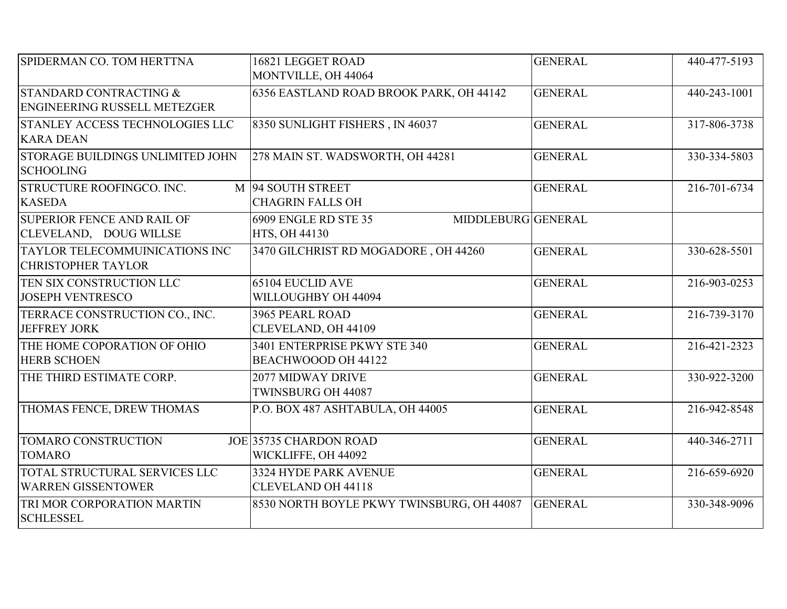| SPIDERMAN CO. TOM HERTTNA                                          | 16821 LEGGET ROAD                                           | <b>GENERAL</b> | 440-477-5193 |
|--------------------------------------------------------------------|-------------------------------------------------------------|----------------|--------------|
|                                                                    | MONTVILLE, OH 44064                                         |                |              |
| STANDARD CONTRACTING &<br><b>ENGINEERING RUSSELL METEZGER</b>      | 6356 EASTLAND ROAD BROOK PARK, OH 44142                     | <b>GENERAL</b> | 440-243-1001 |
| STANLEY ACCESS TECHNOLOGIES LLC<br><b>KARA DEAN</b>                | 8350 SUNLIGHT FISHERS, IN 46037                             | <b>GENERAL</b> | 317-806-3738 |
| STORAGE BUILDINGS UNLIMITED JOHN<br><b>SCHOOLING</b>               | 278 MAIN ST. WADSWORTH, OH 44281                            | <b>GENERAL</b> | 330-334-5803 |
| STRUCTURE ROOFINGCO. INC.<br><b>KASEDA</b>                         | M 94 SOUTH STREET<br><b>CHAGRIN FALLS OH</b>                | <b>GENERAL</b> | 216-701-6734 |
| <b>SUPERIOR FENCE AND RAIL OF</b><br>CLEVELAND, DOUG WILLSE        | 6909 ENGLE RD STE 35<br>MIDDLEBURG GENERAL<br>HTS, OH 44130 |                |              |
| <b>TAYLOR TELECOMMUINICATIONS INC</b><br><b>CHRISTOPHER TAYLOR</b> | 3470 GILCHRIST RD MOGADORE, OH 44260                        | <b>GENERAL</b> | 330-628-5501 |
| TEN SIX CONSTRUCTION LLC<br><b>JOSEPH VENTRESCO</b>                | <b>65104 EUCLID AVE</b><br>WILLOUGHBY OH 44094              | <b>GENERAL</b> | 216-903-0253 |
| TERRACE CONSTRUCTION CO., INC.<br><b>JEFFREY JORK</b>              | 3965 PEARL ROAD<br>CLEVELAND, OH 44109                      | <b>GENERAL</b> | 216-739-3170 |
| THE HOME COPORATION OF OHIO<br><b>HERB SCHOEN</b>                  | 3401 ENTERPRISE PKWY STE 340<br>BEACHWOOOD OH 44122         | <b>GENERAL</b> | 216-421-2323 |
| THE THIRD ESTIMATE CORP.                                           | 2077 MIDWAY DRIVE<br>TWINSBURG OH 44087                     | <b>GENERAL</b> | 330-922-3200 |
| THOMAS FENCE, DREW THOMAS                                          | P.O. BOX 487 ASHTABULA, OH 44005                            | <b>GENERAL</b> | 216-942-8548 |
| <b>TOMARO CONSTRUCTION</b><br><b>TOMARO</b>                        | JOE 35735 CHARDON ROAD<br>WICKLIFFE, OH 44092               | <b>GENERAL</b> | 440-346-2711 |
| TOTAL STRUCTURAL SERVICES LLC<br><b>WARREN GISSENTOWER</b>         | 3324 HYDE PARK AVENUE<br><b>CLEVELAND OH 44118</b>          | <b>GENERAL</b> | 216-659-6920 |
| TRI MOR CORPORATION MARTIN<br><b>SCHLESSEL</b>                     | 8530 NORTH BOYLE PKWY TWINSBURG, OH 44087                   | <b>GENERAL</b> | 330-348-9096 |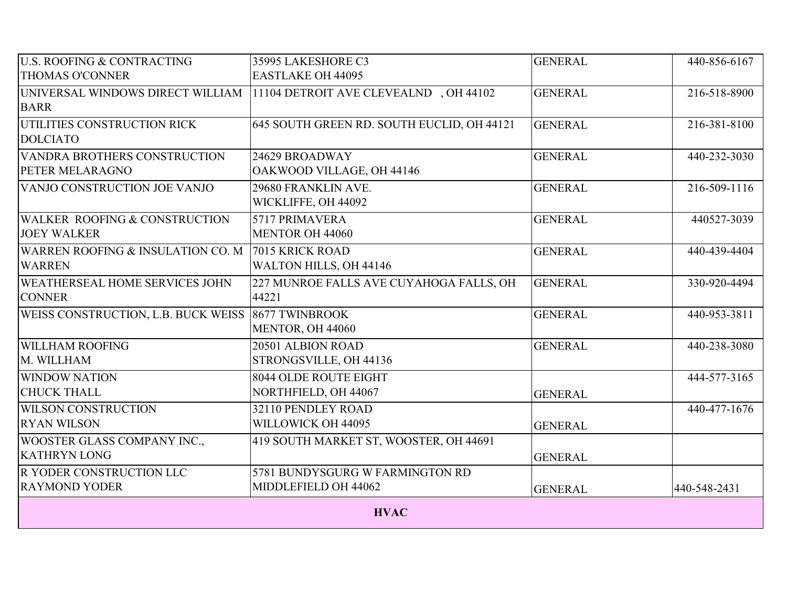| <b>U.S. ROOFING &amp; CONTRACTING</b>                              | 35995 LAKESHORE C3                                      | <b>GENERAL</b> | 440-856-6167 |
|--------------------------------------------------------------------|---------------------------------------------------------|----------------|--------------|
| <b>THOMAS O'CONNER</b>                                             | <b>EASTLAKE OH 44095</b>                                |                |              |
| UNIVERSAL WINDOWS DIRECT WILLIAM<br><b>BARR</b>                    | 11104 DETROIT AVE CLEVEALND, OH 44102                   | <b>GENERAL</b> | 216-518-8900 |
| UTILITIES CONSTRUCTION RICK<br><b>DOLCIATO</b>                     | 645 SOUTH GREEN RD. SOUTH EUCLID, OH 44121              | <b>GENERAL</b> | 216-381-8100 |
| VANDRA BROTHERS CONSTRUCTION<br>PETER MELARAGNO                    | 24629 BROADWAY<br>OAKWOOD VILLAGE, OH 44146             | <b>GENERAL</b> | 440-232-3030 |
| VANJO CONSTRUCTION JOE VANJO                                       | 29680 FRANKLIN AVE.<br>WICKLIFFE, OH 44092              | <b>GENERAL</b> | 216-509-1116 |
| <b>WALKER ROOFING &amp; CONSTRUCTION</b><br><b>JOEY WALKER</b>     | 5717 PRIMAVERA<br>MENTOR OH 44060                       | <b>GENERAL</b> | 440527-3039  |
| WARREN ROOFING & INSULATION CO. M 7015 KRICK ROAD<br><b>WARREN</b> | WALTON HILLS, OH 44146                                  | <b>GENERAL</b> | 440-439-4404 |
| <b>WEATHERSEAL HOME SERVICES JOHN</b><br><b>CONNER</b>             | 227 MUNROE FALLS AVE CUYAHOGA FALLS, OH<br>44221        | <b>GENERAL</b> | 330-920-4494 |
| <b>WEISS CONSTRUCTION, L.B. BUCK WEISS 8677 TWINBROOK</b>          | MENTOR, OH 44060                                        | <b>GENERAL</b> | 440-953-3811 |
| <b>WILLHAM ROOFING</b><br>M. WILLHAM                               | 20501 ALBION ROAD<br>STRONGSVILLE, OH 44136             | <b>GENERAL</b> | 440-238-3080 |
| <b>WINDOW NATION</b><br><b>CHUCK THALL</b>                         | <b>8044 OLDE ROUTE EIGHT</b><br>NORTHFIELD, OH 44067    | <b>GENERAL</b> | 444-577-3165 |
| <b>WILSON CONSTRUCTION</b><br><b>RYAN WILSON</b>                   | 32110 PENDLEY ROAD<br>WILLOWICK OH 44095                | <b>GENERAL</b> | 440-477-1676 |
| <b>WOOSTER GLASS COMPANY INC.,</b><br><b>KATHRYN LONG</b>          | 419 SOUTH MARKET ST, WOOSTER, OH 44691                  | <b>GENERAL</b> |              |
| <b>R YODER CONSTRUCTION LLC</b><br><b>RAYMOND YODER</b>            | 5781 BUNDYSGURG W FARMINGTON RD<br>MIDDLEFIELD OH 44062 | <b>GENERAL</b> | 440-548-2431 |
| <b>HVAC</b>                                                        |                                                         |                |              |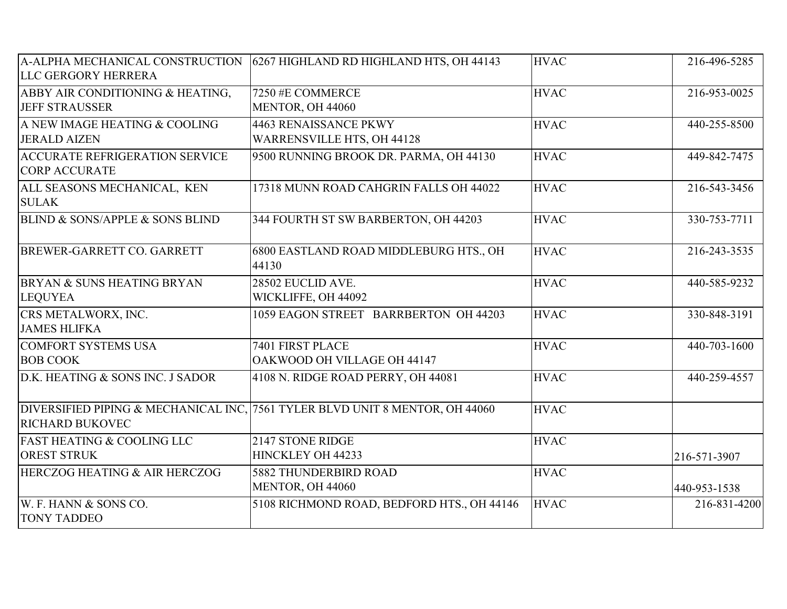| LLC GERGORY HERRERA                                           | A-ALPHA MECHANICAL CONSTRUCTION 6267 HIGHLAND RD HIGHLAND HTS, OH 44143      | <b>HVAC</b> | 216-496-5285 |
|---------------------------------------------------------------|------------------------------------------------------------------------------|-------------|--------------|
| ABBY AIR CONDITIONING & HEATING,<br><b>JEFF STRAUSSER</b>     | 7250 #E COMMERCE<br>MENTOR, OH 44060                                         | <b>HVAC</b> | 216-953-0025 |
| A NEW IMAGE HEATING & COOLING<br><b>JERALD AIZEN</b>          | <b>4463 RENAISSANCE PKWY</b><br><b>WARRENSVILLE HTS, OH 44128</b>            | <b>HVAC</b> | 440-255-8500 |
| <b>ACCURATE REFRIGERATION SERVICE</b><br><b>CORP ACCURATE</b> | 9500 RUNNING BROOK DR. PARMA, OH 44130                                       | <b>HVAC</b> | 449-842-7475 |
| ALL SEASONS MECHANICAL, KEN<br><b>SULAK</b>                   | 17318 MUNN ROAD CAHGRIN FALLS OH 44022                                       | <b>HVAC</b> | 216-543-3456 |
| <b>BLIND &amp; SONS/APPLE &amp; SONS BLIND</b>                | 344 FOURTH ST SW BARBERTON, OH 44203                                         | <b>HVAC</b> | 330-753-7711 |
| BREWER-GARRETT CO. GARRETT                                    | 6800 EASTLAND ROAD MIDDLEBURG HTS., OH<br>44130                              | <b>HVAC</b> | 216-243-3535 |
| BRYAN & SUNS HEATING BRYAN<br><b>LEQUYEA</b>                  | 28502 EUCLID AVE.<br>WICKLIFFE, OH 44092                                     | <b>HVAC</b> | 440-585-9232 |
| CRS METALWORX, INC.<br><b>JAMES HLIFKA</b>                    | 1059 EAGON STREET BARRBERTON OH 44203                                        | <b>HVAC</b> | 330-848-3191 |
| <b>COMFORT SYSTEMS USA</b><br><b>BOB COOK</b>                 | 7401 FIRST PLACE<br>OAKWOOD OH VILLAGE OH 44147                              | <b>HVAC</b> | 440-703-1600 |
| D.K. HEATING & SONS INC. J SADOR                              | 4108 N. RIDGE ROAD PERRY, OH 44081                                           | <b>HVAC</b> | 440-259-4557 |
| <b>RICHARD BUKOVEC</b>                                        | DIVERSIFIED PIPING & MECHANICAL INC, 7561 TYLER BLVD UNIT 8 MENTOR, OH 44060 | <b>HVAC</b> |              |
| <b>FAST HEATING &amp; COOLING LLC</b><br><b>OREST STRUK</b>   | 2147 STONE RIDGE<br>HINCKLEY OH 44233                                        | <b>HVAC</b> | 216-571-3907 |
| HERCZOG HEATING & AIR HERCZOG                                 | 5882 THUNDERBIRD ROAD<br>MENTOR, OH 44060                                    | <b>HVAC</b> | 440-953-1538 |
| W. F. HANN & SONS CO.<br><b>TONY TADDEO</b>                   | 5108 RICHMOND ROAD, BEDFORD HTS., OH 44146                                   | <b>HVAC</b> | 216-831-4200 |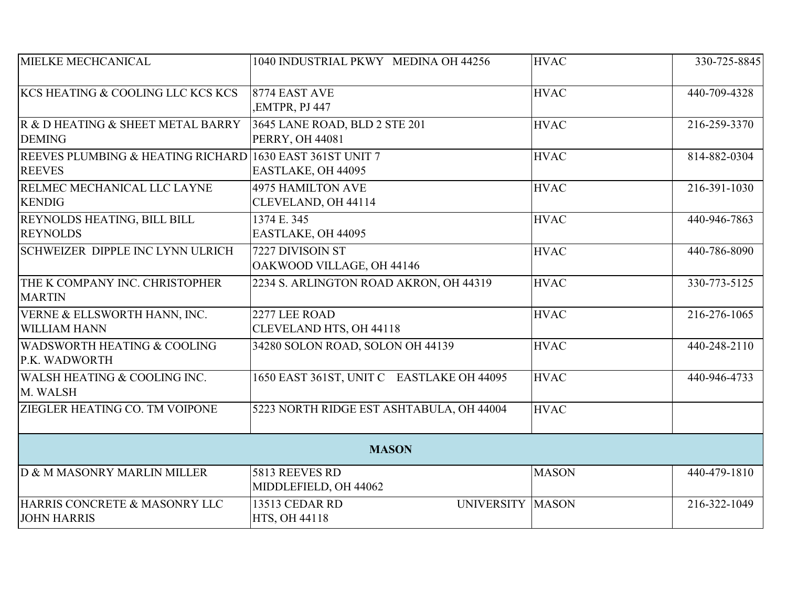| MIELKE MECHCANICAL                                                        | 1040 INDUSTRIAL PKWY MEDINA OH 44256                    | <b>HVAC</b>  | 330-725-8845 |
|---------------------------------------------------------------------------|---------------------------------------------------------|--------------|--------------|
| KCS HEATING & COOLING LLC KCS KCS                                         | 8774 EAST AVE<br>,EMTPR, PJ 447                         | <b>HVAC</b>  | 440-709-4328 |
| R & D HEATING & SHEET METAL BARRY<br><b>DEMING</b>                        | 3645 LANE ROAD, BLD 2 STE 201<br><b>PERRY, OH 44081</b> | <b>HVAC</b>  | 216-259-3370 |
| REEVES PLUMBING & HEATING RICHARD 1630 EAST 361ST UNIT 7<br><b>REEVES</b> | EASTLAKE, OH 44095                                      | <b>HVAC</b>  | 814-882-0304 |
| RELMEC MECHANICAL LLC LAYNE<br><b>KENDIG</b>                              | <b>4975 HAMILTON AVE</b><br>CLEVELAND, OH 44114         | <b>HVAC</b>  | 216-391-1030 |
| REYNOLDS HEATING, BILL BILL<br><b>REYNOLDS</b>                            | 1374 E. 345<br>EASTLAKE, OH 44095                       | <b>HVAC</b>  | 440-946-7863 |
| <b>SCHWEIZER DIPPLE INC LYNN ULRICH</b>                                   | 7227 DIVISOIN ST<br>OAKWOOD VILLAGE, OH 44146           | <b>HVAC</b>  | 440-786-8090 |
| THE K COMPANY INC. CHRISTOPHER<br><b>MARTIN</b>                           | 2234 S. ARLINGTON ROAD AKRON, OH 44319                  | <b>HVAC</b>  | 330-773-5125 |
| VERNE & ELLSWORTH HANN, INC.<br><b>WILLIAM HANN</b>                       | 2277 LEE ROAD<br>CLEVELAND HTS, OH 44118                | <b>HVAC</b>  | 216-276-1065 |
| <b>WADSWORTH HEATING &amp; COOLING</b><br>P.K. WADWORTH                   | 34280 SOLON ROAD, SOLON OH 44139                        | <b>HVAC</b>  | 440-248-2110 |
| WALSH HEATING & COOLING INC.<br>M. WALSH                                  | 1650 EAST 361ST, UNIT C EASTLAKE OH 44095               | <b>HVAC</b>  | 440-946-4733 |
| ZIEGLER HEATING CO. TM VOIPONE                                            | 5223 NORTH RIDGE EST ASHTABULA, OH 44004                | <b>HVAC</b>  |              |
|                                                                           | <b>MASON</b>                                            |              |              |
| D & M MASONRY MARLIN MILLER                                               | 5813 REEVES RD<br>MIDDLEFIELD, OH 44062                 | <b>MASON</b> | 440-479-1810 |
| HARRIS CONCRETE & MASONRY LLC<br><b>JOHN HARRIS</b>                       | 13513 CEDAR RD<br>UNIVERSITY MASON<br>HTS, OH 44118     |              | 216-322-1049 |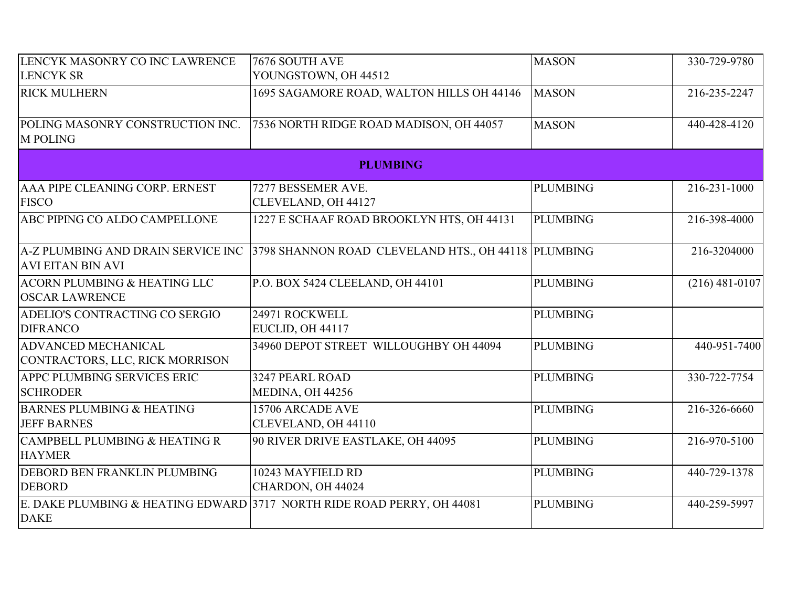| LENCYK MASONRY CO INC LAWRENCE                                   | 7676 SOUTH AVE                                                                         | <b>MASON</b>    | 330-729-9780     |
|------------------------------------------------------------------|----------------------------------------------------------------------------------------|-----------------|------------------|
| <b>LENCYK SR</b>                                                 | YOUNGSTOWN, OH 44512                                                                   |                 |                  |
| <b>RICK MULHERN</b>                                              | 1695 SAGAMORE ROAD, WALTON HILLS OH 44146                                              | <b>MASON</b>    | 216-235-2247     |
| POLING MASONRY CONSTRUCTION INC.<br><b>M POLING</b>              | 7536 NORTH RIDGE ROAD MADISON, OH 44057                                                | <b>MASON</b>    | 440-428-4120     |
|                                                                  | <b>PLUMBING</b>                                                                        |                 |                  |
| AAA PIPE CLEANING CORP. ERNEST                                   | 7277 BESSEMER AVE.                                                                     | <b>PLUMBING</b> | 216-231-1000     |
| <b>FISCO</b>                                                     | CLEVELAND, OH 44127                                                                    |                 |                  |
| ABC PIPING CO ALDO CAMPELLONE                                    | 1227 E SCHAAF ROAD BROOKLYN HTS, OH 44131                                              | <b>PLUMBING</b> | 216-398-4000     |
| <b>AVI EITAN BIN AVI</b>                                         | A-Z PLUMBING AND DRAIN SERVICE INC 3798 SHANNON ROAD CLEVELAND HTS., OH 44118 PLUMBING |                 | 216-3204000      |
| <b>ACORN PLUMBING &amp; HEATING LLC</b><br><b>OSCAR LAWRENCE</b> | P.O. BOX 5424 CLEELAND, OH 44101                                                       | <b>PLUMBING</b> | $(216)$ 481-0107 |
| ADELIO'S CONTRACTING CO SERGIO<br><b>DIFRANCO</b>                | 24971 ROCKWELL<br>EUCLID, OH 44117                                                     | <b>PLUMBING</b> |                  |
| <b>ADVANCED MECHANICAL</b><br>CONTRACTORS, LLC, RICK MORRISON    | 34960 DEPOT STREET WILLOUGHBY OH 44094                                                 | <b>PLUMBING</b> | 440-951-7400     |
| APPC PLUMBING SERVICES ERIC<br><b>SCHRODER</b>                   | 3247 PEARL ROAD<br>MEDINA, OH 44256                                                    | <b>PLUMBING</b> | 330-722-7754     |
| <b>BARNES PLUMBING &amp; HEATING</b><br><b>JEFF BARNES</b>       | 15706 ARCADE AVE<br>CLEVELAND, OH 44110                                                | <b>PLUMBING</b> | 216-326-6660     |
| <b>CAMPBELL PLUMBING &amp; HEATING R</b><br><b>HAYMER</b>        | 90 RIVER DRIVE EASTLAKE, OH 44095                                                      | <b>PLUMBING</b> | 216-970-5100     |
| <b>DEBORD BEN FRANKLIN PLUMBING</b><br><b>DEBORD</b>             | 10243 MAYFIELD RD<br>CHARDON, OH 44024                                                 | <b>PLUMBING</b> | 440-729-1378     |
| <b>DAKE</b>                                                      | E. DAKE PLUMBING & HEATING EDWARD 3717 NORTH RIDE ROAD PERRY, OH 44081                 | <b>PLUMBING</b> | 440-259-5997     |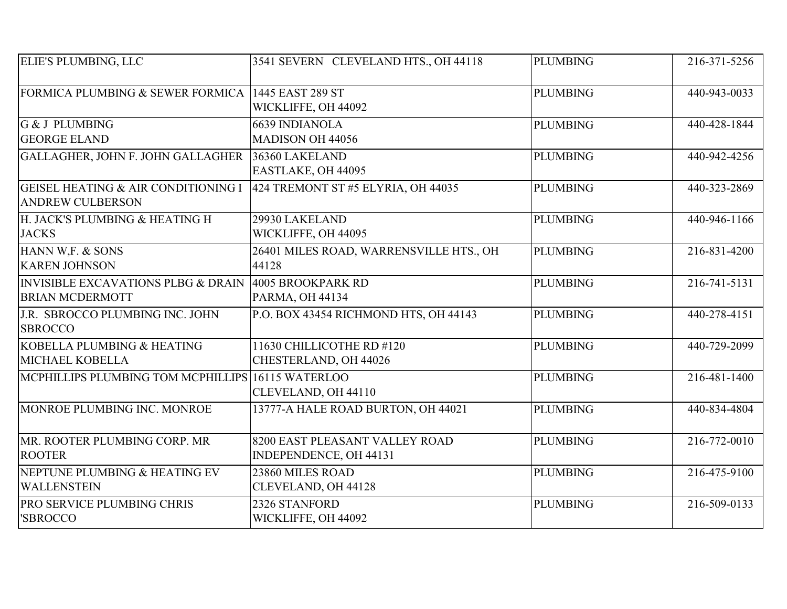| <b>ELIE'S PLUMBING, LLC</b>                                               | 3541 SEVERN CLEVELAND HTS., OH 44118                     | <b>PLUMBING</b> | 216-371-5256 |
|---------------------------------------------------------------------------|----------------------------------------------------------|-----------------|--------------|
| FORMICA PLUMBING & SEWER FORMICA                                          | 1445 EAST 289 ST<br>WICKLIFFE, OH 44092                  | <b>PLUMBING</b> | 440-943-0033 |
| <b>G &amp; J PLUMBING</b><br><b>GEORGE ELAND</b>                          | <b>6639 INDIANOLA</b><br><b>MADISON OH 44056</b>         | <b>PLUMBING</b> | 440-428-1844 |
| GALLAGHER, JOHN F. JOHN GALLAGHER 36360 LAKELAND                          | EASTLAKE, OH 44095                                       | <b>PLUMBING</b> | 440-942-4256 |
| <b>GEISEL HEATING &amp; AIR CONDITIONING I</b><br><b>ANDREW CULBERSON</b> | 424 TREMONT ST #5 ELYRIA, OH 44035                       | <b>PLUMBING</b> | 440-323-2869 |
| H. JACK'S PLUMBING & HEATING H<br><b>JACKS</b>                            | 29930 LAKELAND<br>WICKLIFFE, OH 44095                    | <b>PLUMBING</b> | 440-946-1166 |
| HANN W.F. & SONS<br><b>KAREN JOHNSON</b>                                  | 26401 MILES ROAD, WARRENSVILLE HTS., OH<br>44128         | <b>PLUMBING</b> | 216-831-4200 |
| <b>INVISIBLE EXCAVATIONS PLBG &amp; DRAIN</b><br><b>BRIAN MCDERMOTT</b>   | 4005 BROOKPARK RD<br><b>PARMA, OH 44134</b>              | <b>PLUMBING</b> | 216-741-5131 |
| J.R. SBROCCO PLUMBING INC. JOHN<br><b>SBROCCO</b>                         | P.O. BOX 43454 RICHMOND HTS, OH 44143                    | <b>PLUMBING</b> | 440-278-4151 |
| KOBELLA PLUMBING & HEATING<br>MICHAEL KOBELLA                             | 11630 CHILLICOTHE RD #120<br>CHESTERLAND, OH 44026       | <b>PLUMBING</b> | 440-729-2099 |
| MCPHILLIPS PLUMBING TOM MCPHILLIPS 16115 WATERLOO                         | CLEVELAND, OH 44110                                      | <b>PLUMBING</b> | 216-481-1400 |
| MONROE PLUMBING INC. MONROE                                               | 13777-A HALE ROAD BURTON, OH 44021                       | <b>PLUMBING</b> | 440-834-4804 |
| MR. ROOTER PLUMBING CORP. MR<br><b>ROOTER</b>                             | 8200 EAST PLEASANT VALLEY ROAD<br>INDEPENDENCE, OH 44131 | <b>PLUMBING</b> | 216-772-0010 |
| NEPTUNE PLUMBING & HEATING EV<br><b>WALLENSTEIN</b>                       | 23860 MILES ROAD<br>CLEVELAND, OH 44128                  | <b>PLUMBING</b> | 216-475-9100 |
| <b>PRO SERVICE PLUMBING CHRIS</b><br>'SBROCCO                             | 2326 STANFORD<br>WICKLIFFE, OH 44092                     | <b>PLUMBING</b> | 216-509-0133 |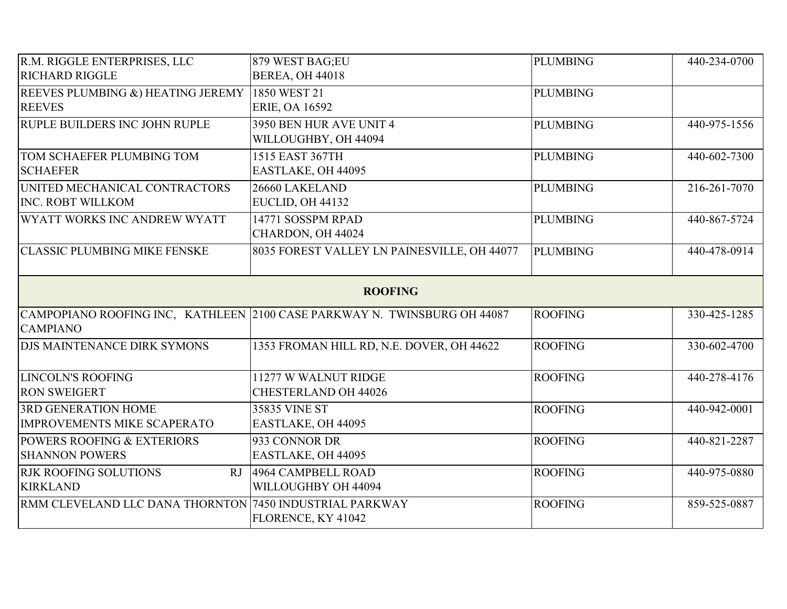| R.M. RIGGLE ENTERPRISES, LLC                            | 879 WEST BAG;EU                                                          | <b>PLUMBING</b> | 440-234-0700 |
|---------------------------------------------------------|--------------------------------------------------------------------------|-----------------|--------------|
| <b>RICHARD RIGGLE</b>                                   | <b>BEREA, OH 44018</b>                                                   |                 |              |
| REEVES PLUMBING &) HEATING JEREMY 1850 WEST 21          |                                                                          | <b>PLUMBING</b> |              |
| <b>REEVES</b>                                           | <b>ERIE, OA 16592</b>                                                    |                 |              |
| <b>RUPLE BUILDERS INC JOHN RUPLE</b>                    | 3950 BEN HUR AVE UNIT 4                                                  | <b>PLUMBING</b> | 440-975-1556 |
|                                                         | WILLOUGHBY, OH 44094                                                     |                 |              |
| <b>TOM SCHAEFER PLUMBING TOM</b>                        | 1515 EAST 367TH                                                          | <b>PLUMBING</b> | 440-602-7300 |
| <b>SCHAEFER</b>                                         | EASTLAKE, OH 44095                                                       |                 |              |
| UNITED MECHANICAL CONTRACTORS                           | 26660 LAKELAND                                                           | <b>PLUMBING</b> | 216-261-7070 |
| <b>INC. ROBT WILLKOM</b>                                | EUCLID, OH 44132                                                         |                 |              |
| WYATT WORKS INC ANDREW WYATT                            | 14771 SOSSPM RPAD                                                        | <b>PLUMBING</b> | 440-867-5724 |
|                                                         | CHARDON, OH 44024                                                        |                 |              |
| <b>CLASSIC PLUMBING MIKE FENSKE</b>                     | 8035 FOREST VALLEY LN PAINESVILLE, OH 44077                              | <b>PLUMBING</b> | 440-478-0914 |
|                                                         |                                                                          |                 |              |
|                                                         | <b>ROOFING</b>                                                           |                 |              |
|                                                         | CAMPOPIANO ROOFING INC, KATHLEEN 2100 CASE PARKWAY N. TWINSBURG OH 44087 | <b>ROOFING</b>  | 330-425-1285 |
| <b>CAMPIANO</b>                                         |                                                                          |                 |              |
| <b>DJS MAINTENANCE DIRK SYMONS</b>                      | 1353 FROMAN HILL RD, N.E. DOVER, OH 44622                                | <b>ROOFING</b>  | 330-602-4700 |
|                                                         |                                                                          |                 |              |
| <b>LINCOLN'S ROOFING</b>                                | 11277 W WALNUT RIDGE                                                     | <b>ROOFING</b>  | 440-278-4176 |
| <b>RON SWEIGERT</b>                                     | <b>CHESTERLAND OH 44026</b>                                              |                 |              |
| <b>3RD GENERATION HOME</b>                              | 35835 VINE ST                                                            | <b>ROOFING</b>  | 440-942-0001 |
| <b>IMPROVEMENTS MIKE SCAPERATO</b>                      | EASTLAKE, OH 44095                                                       |                 |              |
| <b>POWERS ROOFING &amp; EXTERIORS</b>                   | 933 CONNOR DR                                                            | <b>ROOFING</b>  | 440-821-2287 |
| <b>SHANNON POWERS</b>                                   | EASTLAKE, OH 44095                                                       |                 |              |
| <b>RJK ROOFING SOLUTIONS</b><br>RJ                      | 4964 CAMPBELL ROAD                                                       | <b>ROOFING</b>  | 440-975-0880 |
| <b>KIRKLAND</b>                                         | WILLOUGHBY OH 44094                                                      |                 |              |
| RMM CLEVELAND LLC DANA THORNTON 7450 INDUSTRIAL PARKWAY |                                                                          | <b>ROOFING</b>  | 859-525-0887 |
|                                                         | FLORENCE, KY 41042                                                       |                 |              |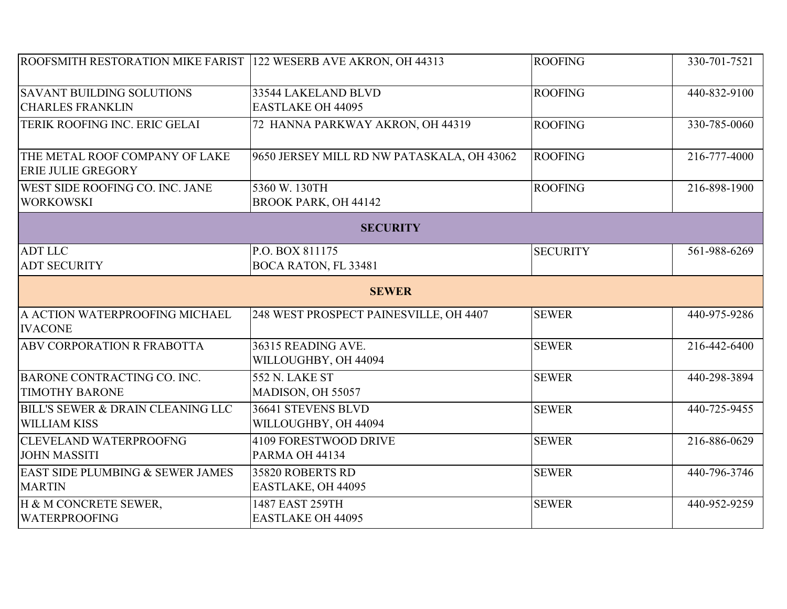| ROOFSMITH RESTORATION MIKE FARIST 122 WESERB AVE AKRON, OH 44313 |                                                 | <b>ROOFING</b>  | 330-701-7521 |
|------------------------------------------------------------------|-------------------------------------------------|-----------------|--------------|
| <b>SAVANT BUILDING SOLUTIONS</b><br><b>CHARLES FRANKLIN</b>      | 33544 LAKELAND BLVD<br><b>EASTLAKE OH 44095</b> | ROOFING         | 440-832-9100 |
| TERIK ROOFING INC. ERIC GELAI                                    | 72 HANNA PARKWAY AKRON, OH 44319                | <b>ROOFING</b>  | 330-785-0060 |
| THE METAL ROOF COMPANY OF LAKE<br><b>ERIE JULIE GREGORY</b>      | 9650 JERSEY MILL RD NW PATASKALA, OH 43062      | <b>ROOFING</b>  | 216-777-4000 |
| <b>WEST SIDE ROOFING CO. INC. JANE</b><br><b>WORKOWSKI</b>       | 5360 W. 130TH<br><b>BROOK PARK, OH 44142</b>    | <b>ROOFING</b>  | 216-898-1900 |
|                                                                  | <b>SECURITY</b>                                 |                 |              |
| <b>ADT LLC</b><br><b>ADT SECURITY</b>                            | P.O. BOX 811175<br>BOCA RATON, FL 33481         | <b>SECURITY</b> | 561-988-6269 |
|                                                                  | <b>SEWER</b>                                    |                 |              |
| A ACTION WATERPROOFING MICHAEL<br><b>IVACONE</b>                 | 248 WEST PROSPECT PAINESVILLE, OH 4407          | <b>SEWER</b>    | 440-975-9286 |
| ABV CORPORATION R FRABOTTA                                       | 36315 READING AVE.<br>WILLOUGHBY, OH 44094      | <b>SEWER</b>    | 216-442-6400 |
| BARONE CONTRACTING CO. INC.<br><b>TIMOTHY BARONE</b>             | <b>552 N. LAKE ST</b><br>MADISON, OH 55057      | <b>SEWER</b>    | 440-298-3894 |
| BILL'S SEWER & DRAIN CLEANING LLC<br><b>WILLIAM KISS</b>         | 36641 STEVENS BLVD<br>WILLOUGHBY, OH 44094      | <b>SEWER</b>    | 440-725-9455 |
| <b>CLEVELAND WATERPROOFNG</b><br><b>JOHN MASSITI</b>             | 4109 FORESTWOOD DRIVE<br>PARMA OH 44134         | <b>SEWER</b>    | 216-886-0629 |
| <b>EAST SIDE PLUMBING &amp; SEWER JAMES</b><br><b>MARTIN</b>     | 35820 ROBERTS RD<br>EASTLAKE, OH 44095          | <b>SEWER</b>    | 440-796-3746 |
| H & M CONCRETE SEWER,<br><b>WATERPROOFING</b>                    | 1487 EAST 259TH<br><b>EASTLAKE OH 44095</b>     | <b>SEWER</b>    | 440-952-9259 |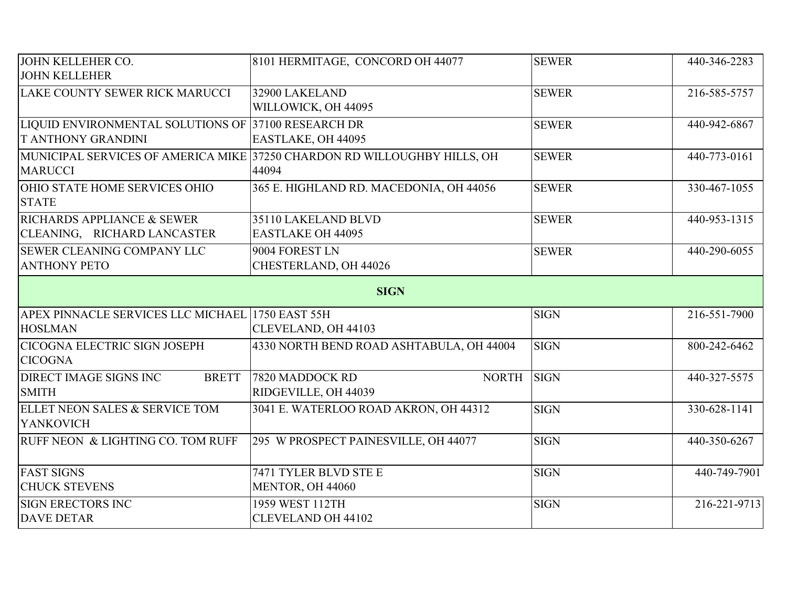| <b>JOHN KELLEHER CO.</b>                            | 8101 HERMITAGE, CONCORD OH 44077                                         | <b>SEWER</b> | 440-346-2283 |  |
|-----------------------------------------------------|--------------------------------------------------------------------------|--------------|--------------|--|
| <b>JOHN KELLEHER</b>                                |                                                                          |              |              |  |
| LAKE COUNTY SEWER RICK MARUCCI                      | 32900 LAKELAND                                                           | <b>SEWER</b> | 216-585-5757 |  |
|                                                     | WILLOWICK, OH 44095                                                      |              |              |  |
| LIQUID ENVIRONMENTAL SOLUTIONS OF 37100 RESEARCH DR |                                                                          | <b>SEWER</b> | 440-942-6867 |  |
| <b>T ANTHONY GRANDINI</b>                           | EASTLAKE, OH 44095                                                       |              |              |  |
|                                                     | MUNICIPAL SERVICES OF AMERICA MIKE 37250 CHARDON RD WILLOUGHBY HILLS, OH | <b>SEWER</b> | 440-773-0161 |  |
| <b>MARUCCI</b>                                      | 44094                                                                    |              |              |  |
| OHIO STATE HOME SERVICES OHIO                       | 365 E. HIGHLAND RD. MACEDONIA, OH 44056                                  | <b>SEWER</b> | 330-467-1055 |  |
| <b>STATE</b>                                        |                                                                          |              |              |  |
| RICHARDS APPLIANCE & SEWER                          | 35110 LAKELAND BLVD                                                      | <b>SEWER</b> | 440-953-1315 |  |
| CLEANING, RICHARD LANCASTER                         | <b>EASTLAKE OH 44095</b>                                                 |              |              |  |
| SEWER CLEANING COMPANY LLC                          | 9004 FOREST LN                                                           | <b>SEWER</b> | 440-290-6055 |  |
| <b>ANTHONY PETO</b>                                 | CHESTERLAND, OH 44026                                                    |              |              |  |
|                                                     | <b>SIGN</b>                                                              |              |              |  |
| APEX PINNACLE SERVICES LLC MICHAEL 1750 EAST 55H    |                                                                          | <b>SIGN</b>  | 216-551-7900 |  |
| <b>HOSLMAN</b>                                      | CLEVELAND, OH 44103                                                      |              |              |  |
| <b>CICOGNA ELECTRIC SIGN JOSEPH</b>                 | 4330 NORTH BEND ROAD ASHTABULA, OH 44004                                 | <b>SIGN</b>  | 800-242-6462 |  |
| <b>CICOGNA</b>                                      |                                                                          |              |              |  |
| <b>DIRECT IMAGE SIGNS INC</b><br><b>BRETT</b>       | 7820 MADDOCK RD<br><b>NORTH</b>                                          | <b>SIGN</b>  | 440-327-5575 |  |
| <b>SMITH</b>                                        | RIDGEVILLE, OH 44039                                                     |              |              |  |
| ELLET NEON SALES & SERVICE TOM                      | 3041 E. WATERLOO ROAD AKRON, OH 44312                                    | <b>SIGN</b>  | 330-628-1141 |  |
| <b>YANKOVICH</b>                                    |                                                                          |              |              |  |
| RUFF NEON & LIGHTING CO. TOM RUFF                   | 295 W PROSPECT PAINESVILLE, OH 44077                                     | <b>SIGN</b>  | 440-350-6267 |  |
|                                                     |                                                                          |              |              |  |
| <b>FAST SIGNS</b>                                   | 7471 TYLER BLVD STE E                                                    | <b>SIGN</b>  | 440-749-7901 |  |
| <b>CHUCK STEVENS</b>                                | MENTOR, OH 44060                                                         |              |              |  |
| <b>SIGN ERECTORS INC</b>                            | 1959 WEST 112TH                                                          | <b>SIGN</b>  | 216-221-9713 |  |
| <b>DAVE DETAR</b>                                   | <b>CLEVELAND OH 44102</b>                                                |              |              |  |